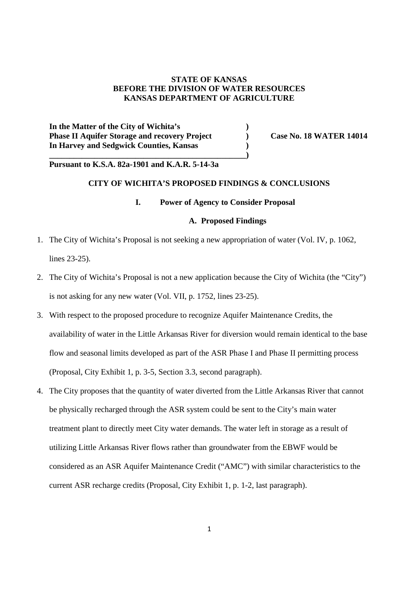### **STATE OF KANSAS BEFORE THE DIVISION OF WATER RESOURCES KANSAS DEPARTMENT OF AGRICULTURE**

**In the Matter of the City of Wichita's ) Phase II Aquifer Storage and recovery Project** (a) Case No. 18 WATER 14014 **In Harvey and Sedgwick Counties, Kansas ) \_\_\_\_\_\_\_\_\_\_\_\_\_\_\_\_\_\_\_\_\_\_\_\_\_\_\_\_\_\_\_\_\_\_\_\_\_\_\_\_\_\_\_\_\_\_\_\_)**

## **Pursuant to K.S.A. 82a-1901 and K.A.R. 5-14-3a**

# **CITY OF WICHITA'S PROPOSED FINDINGS & CONCLUSIONS**

#### **I. Power of Agency to Consider Proposal**

### **A. Proposed Findings**

- 1. The City of Wichita's Proposal is not seeking a new appropriation of water (Vol. IV, p. 1062, lines 23-25).
- 2. The City of Wichita's Proposal is not a new application because the City of Wichita (the "City") is not asking for any new water (Vol. VII, p. 1752, lines 23-25).
- 3. With respect to the proposed procedure to recognize Aquifer Maintenance Credits, the availability of water in the Little Arkansas River for diversion would remain identical to the base flow and seasonal limits developed as part of the ASR Phase I and Phase II permitting process (Proposal, City Exhibit 1, p. 3-5, Section 3.3, second paragraph).
- 4. The City proposes that the quantity of water diverted from the Little Arkansas River that cannot be physically recharged through the ASR system could be sent to the City's main water treatment plant to directly meet City water demands. The water left in storage as a result of utilizing Little Arkansas River flows rather than groundwater from the EBWF would be considered as an ASR Aquifer Maintenance Credit ("AMC") with similar characteristics to the current ASR recharge credits (Proposal, City Exhibit 1, p. 1-2, last paragraph).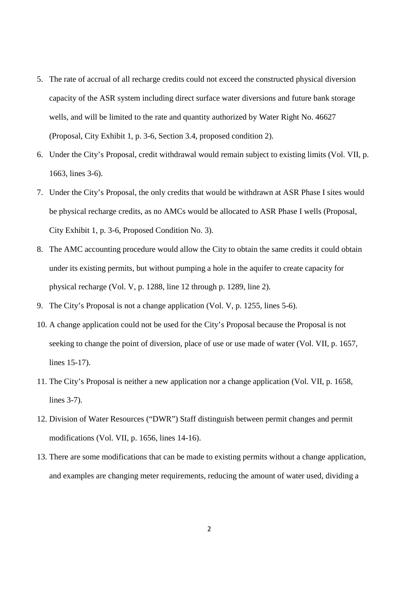- 5. The rate of accrual of all recharge credits could not exceed the constructed physical diversion capacity of the ASR system including direct surface water diversions and future bank storage wells, and will be limited to the rate and quantity authorized by Water Right No. 46627 (Proposal, City Exhibit 1, p. 3-6, Section 3.4, proposed condition 2).
- 6. Under the City's Proposal, credit withdrawal would remain subject to existing limits (Vol. VII, p. 1663, lines 3-6).
- 7. Under the City's Proposal, the only credits that would be withdrawn at ASR Phase I sites would be physical recharge credits, as no AMCs would be allocated to ASR Phase I wells (Proposal, City Exhibit 1, p. 3-6, Proposed Condition No. 3).
- 8. The AMC accounting procedure would allow the City to obtain the same credits it could obtain under its existing permits, but without pumping a hole in the aquifer to create capacity for physical recharge (Vol. V, p. 1288, line 12 through p. 1289, line 2).
- 9. The City's Proposal is not a change application (Vol. V, p. 1255, lines 5-6).
- 10. A change application could not be used for the City's Proposal because the Proposal is not seeking to change the point of diversion, place of use or use made of water (Vol. VII, p. 1657, lines 15-17).
- 11. The City's Proposal is neither a new application nor a change application (Vol. VII, p. 1658, lines 3-7).
- 12. Division of Water Resources ("DWR") Staff distinguish between permit changes and permit modifications (Vol. VII, p. 1656, lines 14-16).
- 13. There are some modifications that can be made to existing permits without a change application, and examples are changing meter requirements, reducing the amount of water used, dividing a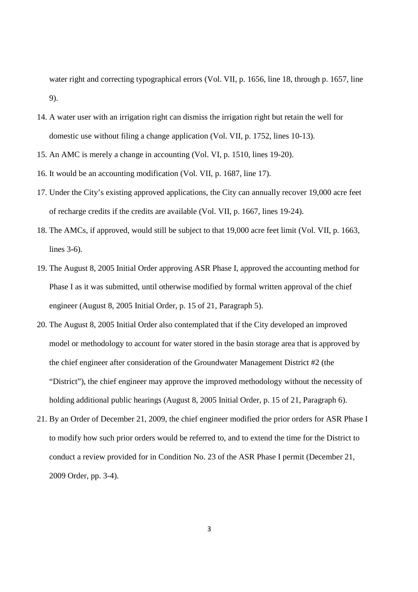water right and correcting typographical errors (Vol. VII, p. 1656, line 18, through p. 1657, line 9).

- 14. A water user with an irrigation right can dismiss the irrigation right but retain the well for domestic use without filing a change application (Vol. VII, p. 1752, lines 10-13).
- 15. An AMC is merely a change in accounting (Vol. VI, p. 1510, lines 19-20).
- 16. It would be an accounting modification (Vol. VII, p. 1687, line 17).
- 17. Under the City's existing approved applications, the City can annually recover 19,000 acre feet of recharge credits if the credits are available (Vol. VII, p. 1667, lines 19-24).
- 18. The AMCs, if approved, would still be subject to that 19,000 acre feet limit (Vol. VII, p. 1663, lines 3-6).
- 19. The August 8, 2005 Initial Order approving ASR Phase I, approved the accounting method for Phase I as it was submitted, until otherwise modified by formal written approval of the chief engineer (August 8, 2005 Initial Order, p. 15 of 21, Paragraph 5).
- 20. The August 8, 2005 Initial Order also contemplated that if the City developed an improved model or methodology to account for water stored in the basin storage area that is approved by the chief engineer after consideration of the Groundwater Management District #2 (the "District"), the chief engineer may approve the improved methodology without the necessity of holding additional public hearings (August 8, 2005 Initial Order, p. 15 of 21, Paragraph 6).
- 21. By an Order of December 21, 2009, the chief engineer modified the prior orders for ASR Phase I to modify how such prior orders would be referred to, and to extend the time for the District to conduct a review provided for in Condition No. 23 of the ASR Phase I permit (December 21, 2009 Order, pp. 3-4).

3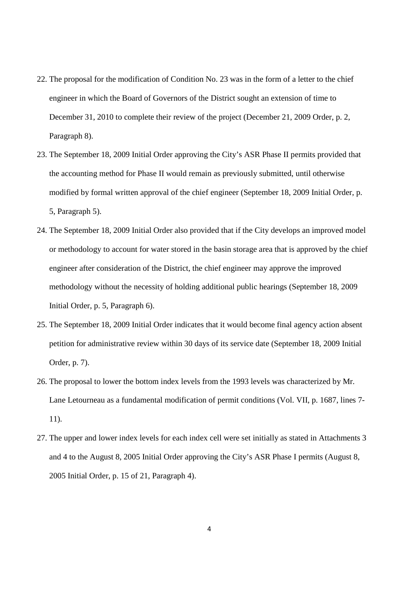- 22. The proposal for the modification of Condition No. 23 was in the form of a letter to the chief engineer in which the Board of Governors of the District sought an extension of time to December 31, 2010 to complete their review of the project (December 21, 2009 Order, p. 2, Paragraph 8).
- 23. The September 18, 2009 Initial Order approving the City's ASR Phase II permits provided that the accounting method for Phase II would remain as previously submitted, until otherwise modified by formal written approval of the chief engineer (September 18, 2009 Initial Order, p. 5, Paragraph 5).
- 24. The September 18, 2009 Initial Order also provided that if the City develops an improved model or methodology to account for water stored in the basin storage area that is approved by the chief engineer after consideration of the District, the chief engineer may approve the improved methodology without the necessity of holding additional public hearings (September 18, 2009 Initial Order, p. 5, Paragraph 6).
- 25. The September 18, 2009 Initial Order indicates that it would become final agency action absent petition for administrative review within 30 days of its service date (September 18, 2009 Initial Order, p. 7).
- 26. The proposal to lower the bottom index levels from the 1993 levels was characterized by Mr. Lane Letourneau as a fundamental modification of permit conditions (Vol. VII, p. 1687, lines 7- 11).
- 27. The upper and lower index levels for each index cell were set initially as stated in Attachments 3 and 4 to the August 8, 2005 Initial Order approving the City's ASR Phase I permits (August 8, 2005 Initial Order, p. 15 of 21, Paragraph 4).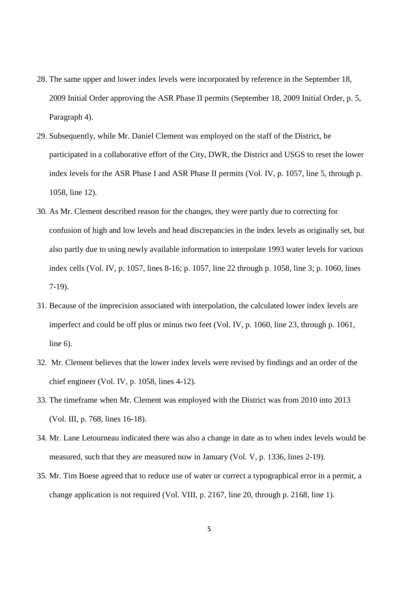- 28. The same upper and lower index levels were incorporated by reference in the September 18, 2009 Initial Order approving the ASR Phase II permits (September 18, 2009 Initial Order, p. 5, Paragraph 4).
- 29. Subsequently, while Mr. Daniel Clement was employed on the staff of the District, he participated in a collaborative effort of the City, DWR, the District and USGS to reset the lower index levels for the ASR Phase I and ASR Phase II permits (Vol. IV, p. 1057, line 5, through p. 1058, line 12).
- 30. As Mr. Clement described reason for the changes, they were partly due to correcting for confusion of high and low levels and head discrepancies in the index levels as originally set, but also partly due to using newly available information to interpolate 1993 water levels for various index cells (Vol. IV, p. 1057, lines 8-16; p. 1057, line 22 through p. 1058, line 3; p. 1060, lines 7-19).
- 31. Because of the imprecision associated with interpolation, the calculated lower index levels are imperfect and could be off plus or minus two feet (Vol. IV, p. 1060, line 23, through p. 1061, line 6).
- 32. Mr. Clement believes that the lower index levels were revised by findings and an order of the chief engineer (Vol. IV, p. 1058, lines 4-12).
- 33. The timeframe when Mr. Clement was employed with the District was from 2010 into 2013 (Vol. III, p. 768, lines 16-18).
- 34. Mr. Lane Letourneau indicated there was also a change in date as to when index levels would be measured, such that they are measured now in January (Vol. V, p. 1336, lines 2-19).
- 35. Mr. Tim Boese agreed that to reduce use of water or correct a typographical error in a permit, a change application is not required (Vol. VIII, p. 2167, line 20, through p. 2168, line 1).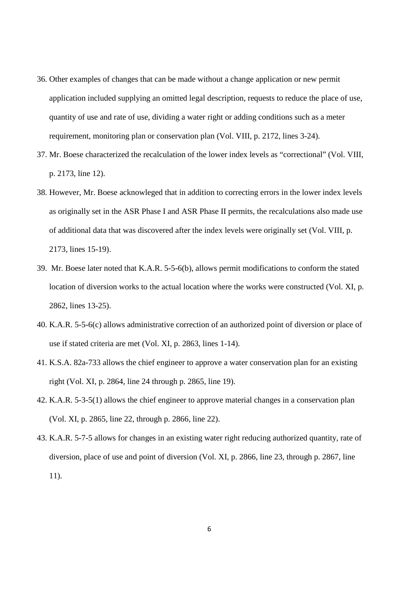- 36. Other examples of changes that can be made without a change application or new permit application included supplying an omitted legal description, requests to reduce the place of use, quantity of use and rate of use, dividing a water right or adding conditions such as a meter requirement, monitoring plan or conservation plan (Vol. VIII, p. 2172, lines 3-24).
- 37. Mr. Boese characterized the recalculation of the lower index levels as "correctional" (Vol. VIII, p. 2173, line 12).
- 38. However, Mr. Boese acknowleged that in addition to correcting errors in the lower index levels as originally set in the ASR Phase I and ASR Phase II permits, the recalculations also made use of additional data that was discovered after the index levels were originally set (Vol. VIII, p. 2173, lines 15-19).
- 39. Mr. Boese later noted that K.A.R. 5-5-6(b), allows permit modifications to conform the stated location of diversion works to the actual location where the works were constructed (Vol. XI, p. 2862, lines 13-25).
- 40. K.A.R. 5-5-6(c) allows administrative correction of an authorized point of diversion or place of use if stated criteria are met (Vol. XI, p. 2863, lines 1-14).
- 41. K.S.A. 82a-733 allows the chief engineer to approve a water conservation plan for an existing right (Vol. XI, p. 2864, line 24 through p. 2865, line 19).
- 42. K.A.R. 5-3-5(1) allows the chief engineer to approve material changes in a conservation plan (Vol. XI, p. 2865, line 22, through p. 2866, line 22).
- 43. K.A.R. 5-7-5 allows for changes in an existing water right reducing authorized quantity, rate of diversion, place of use and point of diversion (Vol. XI, p. 2866, line 23, through p. 2867, line 11).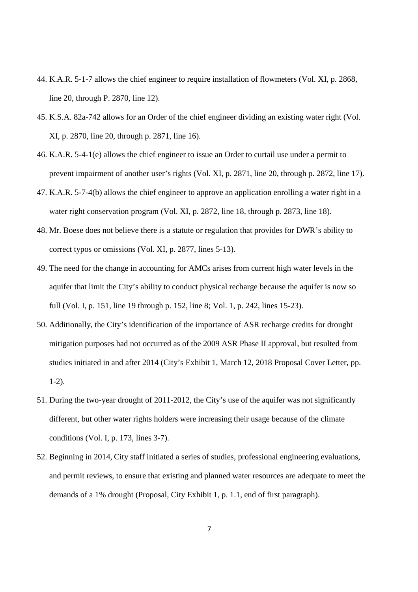- 44. K.A.R. 5-1-7 allows the chief engineer to require installation of flowmeters (Vol. XI, p. 2868, line 20, through P. 2870, line 12).
- 45. K.S.A. 82a-742 allows for an Order of the chief engineer dividing an existing water right (Vol. XI, p. 2870, line 20, through p. 2871, line 16).
- 46. K.A.R. 5-4-1(e) allows the chief engineer to issue an Order to curtail use under a permit to prevent impairment of another user's rights (Vol. XI, p. 2871, line 20, through p. 2872, line 17).
- 47. K.A.R. 5-7-4(b) allows the chief engineer to approve an application enrolling a water right in a water right conservation program (Vol. XI, p. 2872, line 18, through p. 2873, line 18).
- 48. Mr. Boese does not believe there is a statute or regulation that provides for DWR's ability to correct typos or omissions (Vol. XI, p. 2877, lines 5-13).
- 49. The need for the change in accounting for AMCs arises from current high water levels in the aquifer that limit the City's ability to conduct physical recharge because the aquifer is now so full (Vol. I, p. 151, line 19 through p. 152, line 8; Vol. 1, p. 242, lines 15-23).
- 50. Additionally, the City's identification of the importance of ASR recharge credits for drought mitigation purposes had not occurred as of the 2009 ASR Phase II approval, but resulted from studies initiated in and after 2014 (City's Exhibit 1, March 12, 2018 Proposal Cover Letter, pp. 1-2).
- 51. During the two-year drought of 2011-2012, the City's use of the aquifer was not significantly different, but other water rights holders were increasing their usage because of the climate conditions (Vol. I, p. 173, lines 3-7).
- 52. Beginning in 2014, City staff initiated a series of studies, professional engineering evaluations, and permit reviews, to ensure that existing and planned water resources are adequate to meet the demands of a 1% drought (Proposal, City Exhibit 1, p. 1.1, end of first paragraph).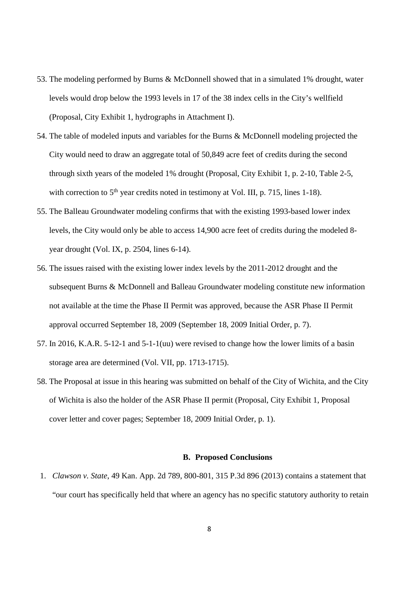- 53. The modeling performed by Burns & McDonnell showed that in a simulated 1% drought, water levels would drop below the 1993 levels in 17 of the 38 index cells in the City's wellfield (Proposal, City Exhibit 1, hydrographs in Attachment I).
- 54. The table of modeled inputs and variables for the Burns & McDonnell modeling projected the City would need to draw an aggregate total of 50,849 acre feet of credits during the second through sixth years of the modeled 1% drought (Proposal, City Exhibit 1, p. 2-10, Table 2-5, with correction to  $5<sup>th</sup>$  year credits noted in testimony at Vol. III, p. 715, lines 1-18).
- 55. The Balleau Groundwater modeling confirms that with the existing 1993-based lower index levels, the City would only be able to access 14,900 acre feet of credits during the modeled 8 year drought (Vol. IX, p. 2504, lines 6-14).
- 56. The issues raised with the existing lower index levels by the 2011-2012 drought and the subsequent Burns & McDonnell and Balleau Groundwater modeling constitute new information not available at the time the Phase II Permit was approved, because the ASR Phase II Permit approval occurred September 18, 2009 (September 18, 2009 Initial Order, p. 7).
- 57. In 2016, K.A.R. 5-12-1 and 5-1-1(uu) were revised to change how the lower limits of a basin storage area are determined (Vol. VII, pp. 1713-1715).
- 58. The Proposal at issue in this hearing was submitted on behalf of the City of Wichita, and the City of Wichita is also the holder of the ASR Phase II permit (Proposal, City Exhibit 1, Proposal cover letter and cover pages; September 18, 2009 Initial Order, p. 1).

### **B. Proposed Conclusions**

1. *Clawson v. State*, 49 Kan. App. 2d 789, 800-801, 315 P.3d 896 (2013) contains a statement that "our court has specifically held that where an agency has no specific statutory authority to retain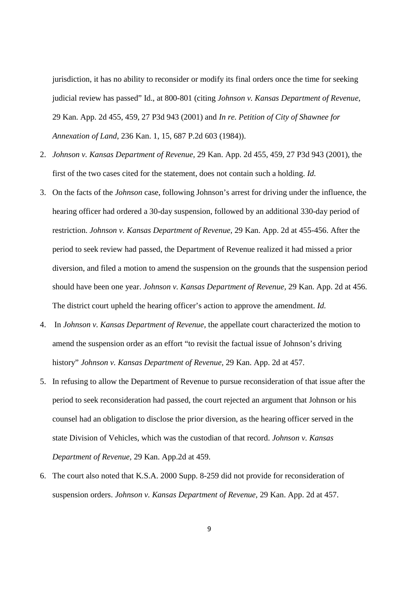jurisdiction, it has no ability to reconsider or modify its final orders once the time for seeking judicial review has passed" Id., at 800-801 (citing *Johnson v. Kansas Department of Revenue,* 29 Kan. App. 2d 455, 459, 27 P3d 943 (2001) and *In re. Petition of City of Shawnee for Annexation of Land*, 236 Kan. 1, 15, 687 P.2d 603 (1984)).

- 2. *Johnson v. Kansas Department of Revenue,* 29 Kan. App. 2d 455, 459, 27 P3d 943 (2001), the first of the two cases cited for the statement, does not contain such a holding. *Id.*
- 3. On the facts of the *Johnson* case, following Johnson's arrest for driving under the influence, the hearing officer had ordered a 30-day suspension, followed by an additional 330-day period of restriction. *Johnson v. Kansas Department of Revenue,* 29 Kan. App. 2d at 455-456. After the period to seek review had passed, the Department of Revenue realized it had missed a prior diversion, and filed a motion to amend the suspension on the grounds that the suspension period should have been one year. *Johnson v. Kansas Department of Revenue,* 29 Kan. App. 2d at 456. The district court upheld the hearing officer's action to approve the amendment. *Id.*
- 4. In *Johnson v. Kansas Department of Revenue,* the appellate court characterized the motion to amend the suspension order as an effort "to revisit the factual issue of Johnson's driving history" *Johnson v. Kansas Department of Revenue,* 29 Kan. App. 2d at 457.
- 5. In refusing to allow the Department of Revenue to pursue reconsideration of that issue after the period to seek reconsideration had passed, the court rejected an argument that Johnson or his counsel had an obligation to disclose the prior diversion, as the hearing officer served in the state Division of Vehicles, which was the custodian of that record. *Johnson v. Kansas Department of Revenue,* 29 Kan. App.2d at 459.
- 6. The court also noted that K.S.A. 2000 Supp. 8-259 did not provide for reconsideration of suspension orders. *Johnson v. Kansas Department of Revenue,* 29 Kan. App. 2d at 457.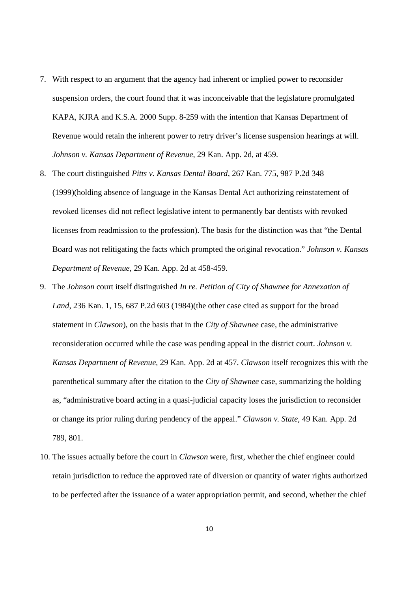- 7. With respect to an argument that the agency had inherent or implied power to reconsider suspension orders, the court found that it was inconceivable that the legislature promulgated KAPA, KJRA and K.S.A. 2000 Supp. 8-259 with the intention that Kansas Department of Revenue would retain the inherent power to retry driver's license suspension hearings at will. *Johnson v. Kansas Department of Revenue,* 29 Kan. App. 2d, at 459.
- 8. The court distinguished *Pitts v. Kansas Dental Board*, 267 Kan. 775, 987 P.2d 348 (1999)(holding absence of language in the Kansas Dental Act authorizing reinstatement of revoked licenses did not reflect legislative intent to permanently bar dentists with revoked licenses from readmission to the profession). The basis for the distinction was that "the Dental Board was not relitigating the facts which prompted the original revocation." *Johnson v. Kansas Department of Revenue,* 29 Kan. App. 2d at 458-459.
- 9. The *Johnson* court itself distinguished *In re. Petition of City of Shawnee for Annexation of Land*, 236 Kan. 1, 15, 687 P.2d 603 (1984)(the other case cited as support for the broad statement in *Clawson*), on the basis that in the *City of Shawnee* case, the administrative reconsideration occurred while the case was pending appeal in the district court. *Johnson v. Kansas Department of Revenue,* 29 Kan. App. 2d at 457. *Clawson* itself recognizes this with the parenthetical summary after the citation to the *City of Shawnee* case, summarizing the holding as, "administrative board acting in a quasi-judicial capacity loses the jurisdiction to reconsider or change its prior ruling during pendency of the appeal." *Clawson v. State*, 49 Kan. App. 2d 789, 801.
- 10. The issues actually before the court in *Clawson* were, first, whether the chief engineer could retain jurisdiction to reduce the approved rate of diversion or quantity of water rights authorized to be perfected after the issuance of a water appropriation permit, and second, whether the chief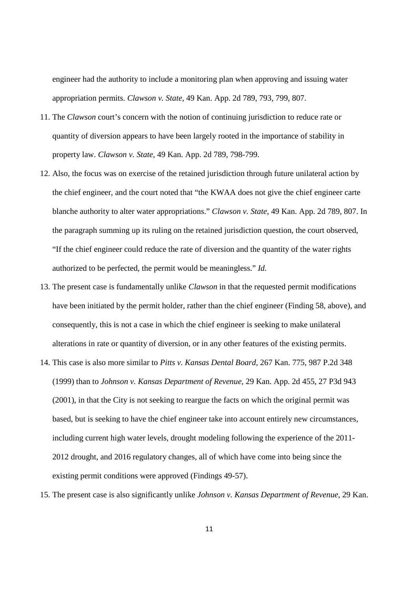engineer had the authority to include a monitoring plan when approving and issuing water appropriation permits. *Clawson v. State*, 49 Kan. App. 2d 789, 793, 799, 807.

- 11. The *Clawson* court's concern with the notion of continuing jurisdiction to reduce rate or quantity of diversion appears to have been largely rooted in the importance of stability in property law. *Clawson v. State*, 49 Kan. App. 2d 789, 798-799.
- 12. Also, the focus was on exercise of the retained jurisdiction through future unilateral action by the chief engineer, and the court noted that "the KWAA does not give the chief engineer carte blanche authority to alter water appropriations." *Clawson v. State*, 49 Kan. App. 2d 789, 807. In the paragraph summing up its ruling on the retained jurisdiction question, the court observed, "If the chief engineer could reduce the rate of diversion and the quantity of the water rights authorized to be perfected, the permit would be meaningless." *Id.*
- 13. The present case is fundamentally unlike *Clawson* in that the requested permit modifications have been initiated by the permit holder, rather than the chief engineer (Finding 58, above), and consequently, this is not a case in which the chief engineer is seeking to make unilateral alterations in rate or quantity of diversion, or in any other features of the existing permits.
- 14. This case is also more similar to *Pitts v. Kansas Dental Board*, 267 Kan. 775, 987 P.2d 348 (1999) than to *Johnson v. Kansas Department of Revenue,* 29 Kan. App. 2d 455, 27 P3d 943 (2001), in that the City is not seeking to reargue the facts on which the original permit was based, but is seeking to have the chief engineer take into account entirely new circumstances, including current high water levels, drought modeling following the experience of the 2011- 2012 drought, and 2016 regulatory changes, all of which have come into being since the existing permit conditions were approved (Findings 49-57).
- 15. The present case is also significantly unlike *Johnson v. Kansas Department of Revenue,* 29 Kan.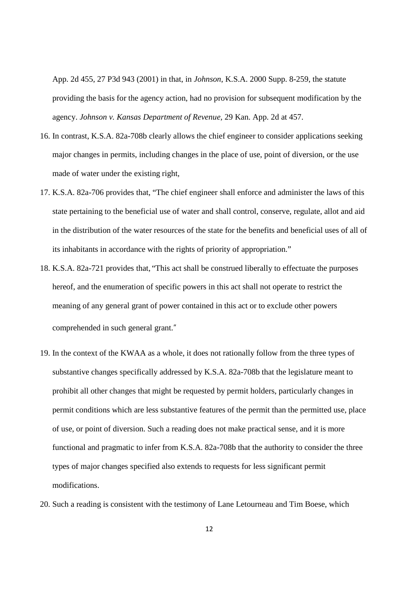App. 2d 455, 27 P3d 943 (2001) in that, in *Johnson*, K.S.A. 2000 Supp. 8-259, the statute providing the basis for the agency action, had no provision for subsequent modification by the agency. *Johnson v. Kansas Department of Revenue,* 29 Kan. App. 2d at 457.

- 16. In contrast, K.S.A. 82a-708b clearly allows the chief engineer to consider applications seeking major changes in permits, including changes in the place of use, point of diversion, or the use made of water under the existing right,
- 17. K.S.A. 82a-706 provides that, "The chief engineer shall enforce and administer the laws of this state pertaining to the beneficial use of water and shall control, conserve, regulate, allot and aid in the distribution of the water resources of the state for the benefits and beneficial uses of all of its inhabitants in accordance with the rights of priority of appropriation."
- 18. K.S.A. 82a-721 provides that, "This act shall be construed liberally to effectuate the purposes hereof, and the enumeration of specific powers in this act shall not operate to restrict the meaning of any general grant of power contained in this act or to exclude other powers comprehended in such general grant."
- 19. In the context of the KWAA as a whole, it does not rationally follow from the three types of substantive changes specifically addressed by K.S.A. 82a-708b that the legislature meant to prohibit all other changes that might be requested by permit holders, particularly changes in permit conditions which are less substantive features of the permit than the permitted use, place of use, or point of diversion. Such a reading does not make practical sense, and it is more functional and pragmatic to infer from K.S.A. 82a-708b that the authority to consider the three types of major changes specified also extends to requests for less significant permit modifications.
- 20. Such a reading is consistent with the testimony of Lane Letourneau and Tim Boese, which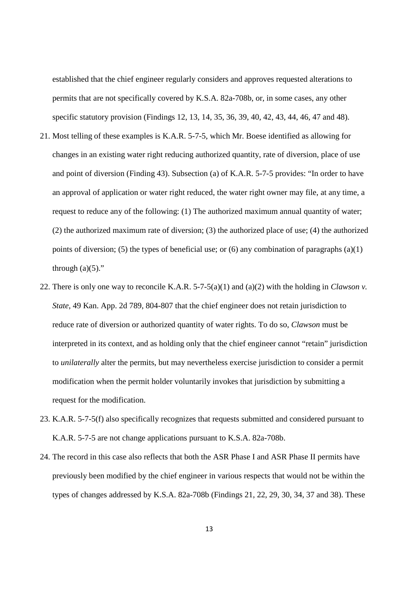established that the chief engineer regularly considers and approves requested alterations to permits that are not specifically covered by K.S.A. 82a-708b, or, in some cases, any other specific statutory provision (Findings 12, 13, 14, 35, 36, 39, 40, 42, 43, 44, 46, 47 and 48).

- 21. Most telling of these examples is K.A.R. 5-7-5, which Mr. Boese identified as allowing for changes in an existing water right reducing authorized quantity, rate of diversion, place of use and point of diversion (Finding 43). Subsection (a) of K.A.R. 5-7-5 provides: "In order to have an approval of application or water right reduced, the water right owner may file, at any time, a request to reduce any of the following: (1) The authorized maximum annual quantity of water; (2) the authorized maximum rate of diversion; (3) the authorized place of use; (4) the authorized points of diversion; (5) the types of beneficial use; or (6) any combination of paragraphs (a)(1) through  $(a)(5)$ ."
- 22. There is only one way to reconcile K.A.R. 5-7-5(a)(1) and (a)(2) with the holding in *Clawson v. State*, 49 Kan. App. 2d 789, 804-807 that the chief engineer does not retain jurisdiction to reduce rate of diversion or authorized quantity of water rights. To do so, *Clawson* must be interpreted in its context, and as holding only that the chief engineer cannot "retain" jurisdiction to *unilaterally* alter the permits, but may nevertheless exercise jurisdiction to consider a permit modification when the permit holder voluntarily invokes that jurisdiction by submitting a request for the modification.
- 23. K.A.R. 5-7-5(f) also specifically recognizes that requests submitted and considered pursuant to K.A.R. 5-7-5 are not change applications pursuant to K.S.A. 82a-708b.
- 24. The record in this case also reflects that both the ASR Phase I and ASR Phase II permits have previously been modified by the chief engineer in various respects that would not be within the types of changes addressed by K.S.A. 82a-708b (Findings 21, 22, 29, 30, 34, 37 and 38). These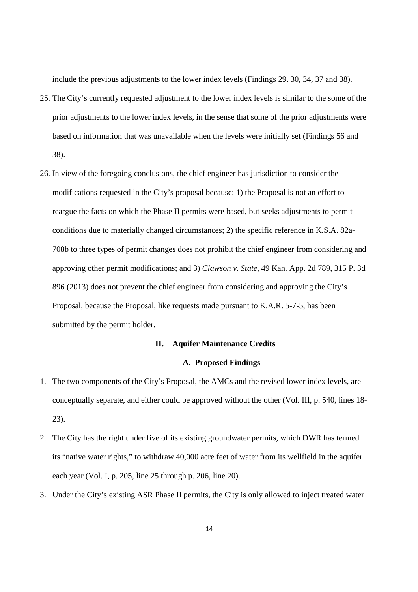include the previous adjustments to the lower index levels (Findings 29, 30, 34, 37 and 38).

- 25. The City's currently requested adjustment to the lower index levels is similar to the some of the prior adjustments to the lower index levels, in the sense that some of the prior adjustments were based on information that was unavailable when the levels were initially set (Findings 56 and 38).
- 26. In view of the foregoing conclusions, the chief engineer has jurisdiction to consider the modifications requested in the City's proposal because: 1) the Proposal is not an effort to reargue the facts on which the Phase II permits were based, but seeks adjustments to permit conditions due to materially changed circumstances; 2) the specific reference in K.S.A. 82a-708b to three types of permit changes does not prohibit the chief engineer from considering and approving other permit modifications; and 3) *Clawson v. State*, 49 Kan. App. 2d 789, 315 P. 3d 896 (2013) does not prevent the chief engineer from considering and approving the City's Proposal, because the Proposal, like requests made pursuant to K.A.R. 5-7-5, has been submitted by the permit holder.

### **II. Aquifer Maintenance Credits**

### **A. Proposed Findings**

- 1. The two components of the City's Proposal, the AMCs and the revised lower index levels, are conceptually separate, and either could be approved without the other (Vol. III, p. 540, lines 18- 23).
- 2. The City has the right under five of its existing groundwater permits, which DWR has termed its "native water rights," to withdraw 40,000 acre feet of water from its wellfield in the aquifer each year (Vol. I, p. 205, line 25 through p. 206, line 20).
- 3. Under the City's existing ASR Phase II permits, the City is only allowed to inject treated water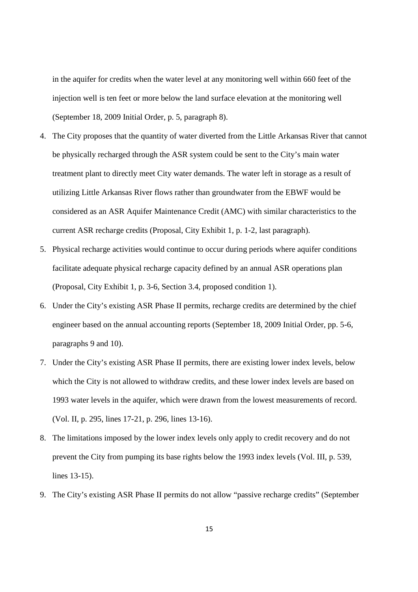in the aquifer for credits when the water level at any monitoring well within 660 feet of the injection well is ten feet or more below the land surface elevation at the monitoring well (September 18, 2009 Initial Order, p. 5, paragraph 8).

- 4. The City proposes that the quantity of water diverted from the Little Arkansas River that cannot be physically recharged through the ASR system could be sent to the City's main water treatment plant to directly meet City water demands. The water left in storage as a result of utilizing Little Arkansas River flows rather than groundwater from the EBWF would be considered as an ASR Aquifer Maintenance Credit (AMC) with similar characteristics to the current ASR recharge credits (Proposal, City Exhibit 1, p. 1-2, last paragraph).
- 5. Physical recharge activities would continue to occur during periods where aquifer conditions facilitate adequate physical recharge capacity defined by an annual ASR operations plan (Proposal, City Exhibit 1, p. 3-6, Section 3.4, proposed condition 1).
- 6. Under the City's existing ASR Phase II permits, recharge credits are determined by the chief engineer based on the annual accounting reports (September 18, 2009 Initial Order, pp. 5-6, paragraphs 9 and 10).
- 7. Under the City's existing ASR Phase II permits, there are existing lower index levels, below which the City is not allowed to withdraw credits, and these lower index levels are based on 1993 water levels in the aquifer, which were drawn from the lowest measurements of record. (Vol. II, p. 295, lines 17-21, p. 296, lines 13-16).
- 8. The limitations imposed by the lower index levels only apply to credit recovery and do not prevent the City from pumping its base rights below the 1993 index levels (Vol. III, p. 539, lines 13-15).
- 9. The City's existing ASR Phase II permits do not allow "passive recharge credits" (September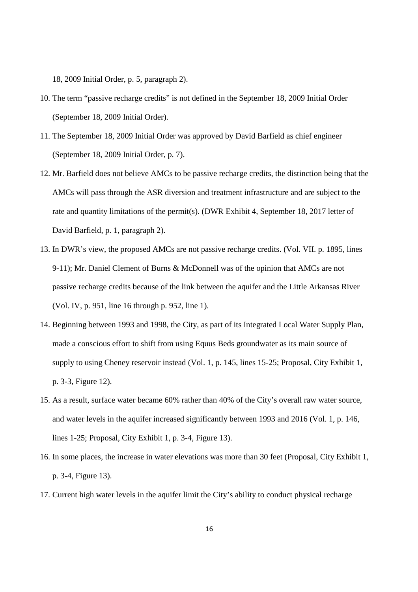18, 2009 Initial Order, p. 5, paragraph 2).

- 10. The term "passive recharge credits" is not defined in the September 18, 2009 Initial Order (September 18, 2009 Initial Order).
- 11. The September 18, 2009 Initial Order was approved by David Barfield as chief engineer (September 18, 2009 Initial Order, p. 7).
- 12. Mr. Barfield does not believe AMCs to be passive recharge credits, the distinction being that the AMCs will pass through the ASR diversion and treatment infrastructure and are subject to the rate and quantity limitations of the permit(s). (DWR Exhibit 4, September 18, 2017 letter of David Barfield, p. 1, paragraph 2).
- 13. In DWR's view, the proposed AMCs are not passive recharge credits. (Vol. VII. p. 1895, lines 9-11); Mr. Daniel Clement of Burns & McDonnell was of the opinion that AMCs are not passive recharge credits because of the link between the aquifer and the Little Arkansas River (Vol. IV, p. 951, line 16 through p. 952, line 1).
- 14. Beginning between 1993 and 1998, the City, as part of its Integrated Local Water Supply Plan, made a conscious effort to shift from using Equus Beds groundwater as its main source of supply to using Cheney reservoir instead (Vol. 1, p. 145, lines 15-25; Proposal, City Exhibit 1, p. 3-3, Figure 12).
- 15. As a result, surface water became 60% rather than 40% of the City's overall raw water source, and water levels in the aquifer increased significantly between 1993 and 2016 (Vol. 1, p. 146, lines 1-25; Proposal, City Exhibit 1, p. 3-4, Figure 13).
- 16. In some places, the increase in water elevations was more than 30 feet (Proposal, City Exhibit 1, p. 3-4, Figure 13).
- 17. Current high water levels in the aquifer limit the City's ability to conduct physical recharge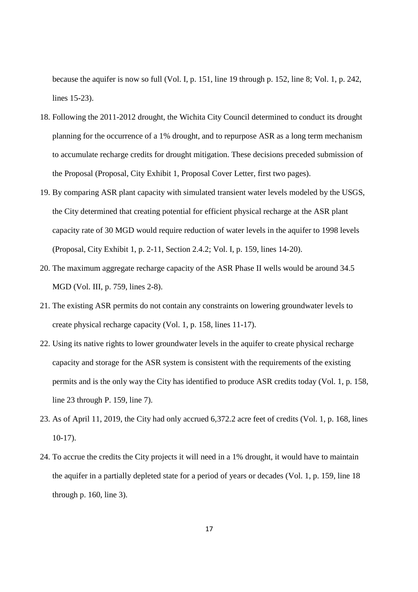because the aquifer is now so full (Vol. I, p. 151, line 19 through p. 152, line 8; Vol. 1, p. 242, lines 15-23).

- 18. Following the 2011-2012 drought, the Wichita City Council determined to conduct its drought planning for the occurrence of a 1% drought, and to repurpose ASR as a long term mechanism to accumulate recharge credits for drought mitigation. These decisions preceded submission of the Proposal (Proposal, City Exhibit 1, Proposal Cover Letter, first two pages).
- 19. By comparing ASR plant capacity with simulated transient water levels modeled by the USGS, the City determined that creating potential for efficient physical recharge at the ASR plant capacity rate of 30 MGD would require reduction of water levels in the aquifer to 1998 levels (Proposal, City Exhibit 1, p. 2-11, Section 2.4.2; Vol. I, p. 159, lines 14-20).
- 20. The maximum aggregate recharge capacity of the ASR Phase II wells would be around 34.5 MGD (Vol. III, p. 759, lines 2-8).
- 21. The existing ASR permits do not contain any constraints on lowering groundwater levels to create physical recharge capacity (Vol. 1, p. 158, lines 11-17).
- 22. Using its native rights to lower groundwater levels in the aquifer to create physical recharge capacity and storage for the ASR system is consistent with the requirements of the existing permits and is the only way the City has identified to produce ASR credits today (Vol. 1, p. 158, line 23 through P. 159, line 7).
- 23. As of April 11, 2019, the City had only accrued 6,372.2 acre feet of credits (Vol. 1, p. 168, lines 10-17).
- 24. To accrue the credits the City projects it will need in a 1% drought, it would have to maintain the aquifer in a partially depleted state for a period of years or decades (Vol. 1, p. 159, line 18 through p. 160, line 3).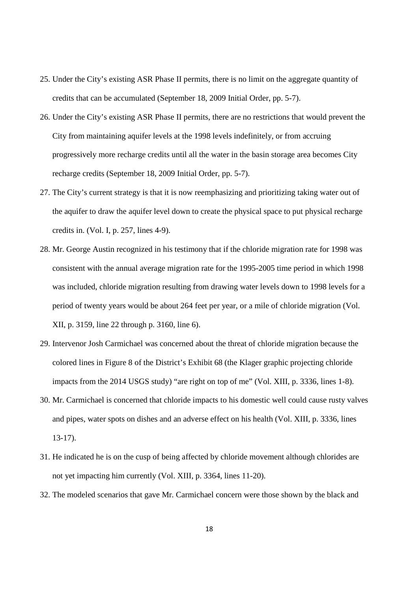- 25. Under the City's existing ASR Phase II permits, there is no limit on the aggregate quantity of credits that can be accumulated (September 18, 2009 Initial Order, pp. 5-7).
- 26. Under the City's existing ASR Phase II permits, there are no restrictions that would prevent the City from maintaining aquifer levels at the 1998 levels indefinitely, or from accruing progressively more recharge credits until all the water in the basin storage area becomes City recharge credits (September 18, 2009 Initial Order, pp. 5-7).
- 27. The City's current strategy is that it is now reemphasizing and prioritizing taking water out of the aquifer to draw the aquifer level down to create the physical space to put physical recharge credits in. (Vol. I, p. 257, lines 4-9).
- 28. Mr. George Austin recognized in his testimony that if the chloride migration rate for 1998 was consistent with the annual average migration rate for the 1995-2005 time period in which 1998 was included, chloride migration resulting from drawing water levels down to 1998 levels for a period of twenty years would be about 264 feet per year, or a mile of chloride migration (Vol. XII, p. 3159, line 22 through p. 3160, line 6).
- 29. Intervenor Josh Carmichael was concerned about the threat of chloride migration because the colored lines in Figure 8 of the District's Exhibit 68 (the Klager graphic projecting chloride impacts from the 2014 USGS study) "are right on top of me" (Vol. XIII, p. 3336, lines 1-8).
- 30. Mr. Carmichael is concerned that chloride impacts to his domestic well could cause rusty valves and pipes, water spots on dishes and an adverse effect on his health (Vol. XIII, p. 3336, lines 13-17).
- 31. He indicated he is on the cusp of being affected by chloride movement although chlorides are not yet impacting him currently (Vol. XIII, p. 3364, lines 11-20).
- 32. The modeled scenarios that gave Mr. Carmichael concern were those shown by the black and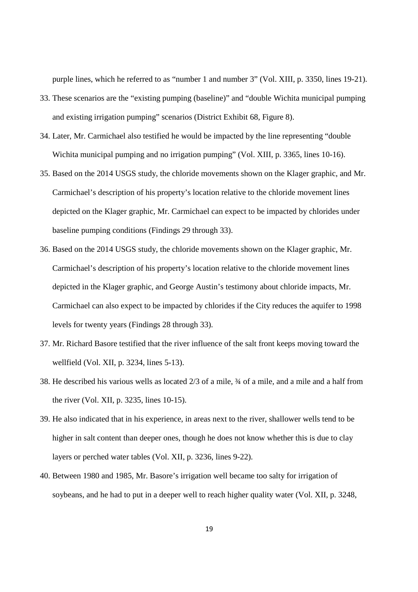purple lines, which he referred to as "number 1 and number 3" (Vol. XIII, p. 3350, lines 19-21).

- 33. These scenarios are the "existing pumping (baseline)" and "double Wichita municipal pumping and existing irrigation pumping" scenarios (District Exhibit 68, Figure 8).
- 34. Later, Mr. Carmichael also testified he would be impacted by the line representing "double Wichita municipal pumping and no irrigation pumping" (Vol. XIII, p. 3365, lines 10-16).
- 35. Based on the 2014 USGS study, the chloride movements shown on the Klager graphic, and Mr. Carmichael's description of his property's location relative to the chloride movement lines depicted on the Klager graphic, Mr. Carmichael can expect to be impacted by chlorides under baseline pumping conditions (Findings 29 through 33).
- 36. Based on the 2014 USGS study, the chloride movements shown on the Klager graphic, Mr. Carmichael's description of his property's location relative to the chloride movement lines depicted in the Klager graphic, and George Austin's testimony about chloride impacts, Mr. Carmichael can also expect to be impacted by chlorides if the City reduces the aquifer to 1998 levels for twenty years (Findings 28 through 33).
- 37. Mr. Richard Basore testified that the river influence of the salt front keeps moving toward the wellfield (Vol. XII, p. 3234, lines 5-13).
- 38. He described his various wells as located 2/3 of a mile, ¾ of a mile, and a mile and a half from the river (Vol. XII, p. 3235, lines 10-15).
- 39. He also indicated that in his experience, in areas next to the river, shallower wells tend to be higher in salt content than deeper ones, though he does not know whether this is due to clay layers or perched water tables (Vol. XII, p. 3236, lines 9-22).
- 40. Between 1980 and 1985, Mr. Basore's irrigation well became too salty for irrigation of soybeans, and he had to put in a deeper well to reach higher quality water (Vol. XII, p. 3248,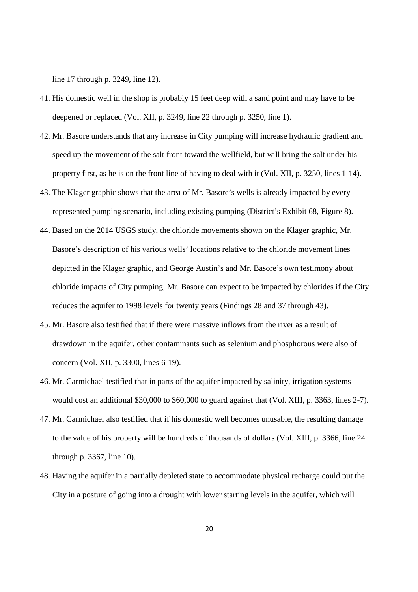line 17 through p. 3249, line 12).

- 41. His domestic well in the shop is probably 15 feet deep with a sand point and may have to be deepened or replaced (Vol. XII, p. 3249, line 22 through p. 3250, line 1).
- 42. Mr. Basore understands that any increase in City pumping will increase hydraulic gradient and speed up the movement of the salt front toward the wellfield, but will bring the salt under his property first, as he is on the front line of having to deal with it (Vol. XII, p. 3250, lines 1-14).
- 43. The Klager graphic shows that the area of Mr. Basore's wells is already impacted by every represented pumping scenario, including existing pumping (District's Exhibit 68, Figure 8).
- 44. Based on the 2014 USGS study, the chloride movements shown on the Klager graphic, Mr. Basore's description of his various wells' locations relative to the chloride movement lines depicted in the Klager graphic, and George Austin's and Mr. Basore's own testimony about chloride impacts of City pumping, Mr. Basore can expect to be impacted by chlorides if the City reduces the aquifer to 1998 levels for twenty years (Findings 28 and 37 through 43).
- 45. Mr. Basore also testified that if there were massive inflows from the river as a result of drawdown in the aquifer, other contaminants such as selenium and phosphorous were also of concern (Vol. XII, p. 3300, lines 6-19).
- 46. Mr. Carmichael testified that in parts of the aquifer impacted by salinity, irrigation systems would cost an additional \$30,000 to \$60,000 to guard against that (Vol. XIII, p. 3363, lines 2-7).
- 47. Mr. Carmichael also testified that if his domestic well becomes unusable, the resulting damage to the value of his property will be hundreds of thousands of dollars (Vol. XIII, p. 3366, line 24 through p. 3367, line 10).
- 48. Having the aquifer in a partially depleted state to accommodate physical recharge could put the City in a posture of going into a drought with lower starting levels in the aquifer, which will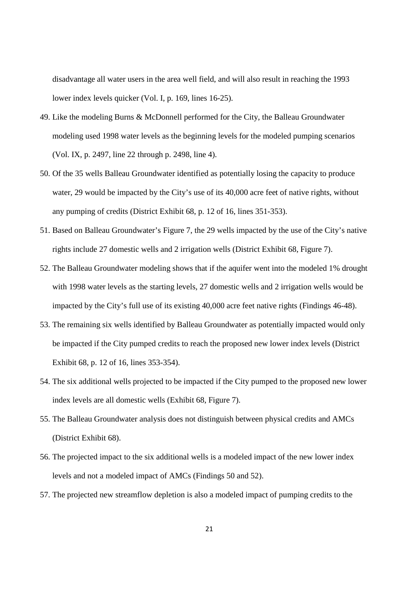disadvantage all water users in the area well field, and will also result in reaching the 1993 lower index levels quicker (Vol. I, p. 169, lines 16-25).

- 49. Like the modeling Burns & McDonnell performed for the City, the Balleau Groundwater modeling used 1998 water levels as the beginning levels for the modeled pumping scenarios (Vol. IX, p. 2497, line 22 through p. 2498, line 4).
- 50. Of the 35 wells Balleau Groundwater identified as potentially losing the capacity to produce water, 29 would be impacted by the City's use of its 40,000 acre feet of native rights, without any pumping of credits (District Exhibit 68, p. 12 of 16, lines 351-353).
- 51. Based on Balleau Groundwater's Figure 7, the 29 wells impacted by the use of the City's native rights include 27 domestic wells and 2 irrigation wells (District Exhibit 68, Figure 7).
- 52. The Balleau Groundwater modeling shows that if the aquifer went into the modeled 1% drought with 1998 water levels as the starting levels, 27 domestic wells and 2 irrigation wells would be impacted by the City's full use of its existing 40,000 acre feet native rights (Findings 46-48).
- 53. The remaining six wells identified by Balleau Groundwater as potentially impacted would only be impacted if the City pumped credits to reach the proposed new lower index levels (District Exhibit 68, p. 12 of 16, lines 353-354).
- 54. The six additional wells projected to be impacted if the City pumped to the proposed new lower index levels are all domestic wells (Exhibit 68, Figure 7).
- 55. The Balleau Groundwater analysis does not distinguish between physical credits and AMCs (District Exhibit 68).
- 56. The projected impact to the six additional wells is a modeled impact of the new lower index levels and not a modeled impact of AMCs (Findings 50 and 52).
- 57. The projected new streamflow depletion is also a modeled impact of pumping credits to the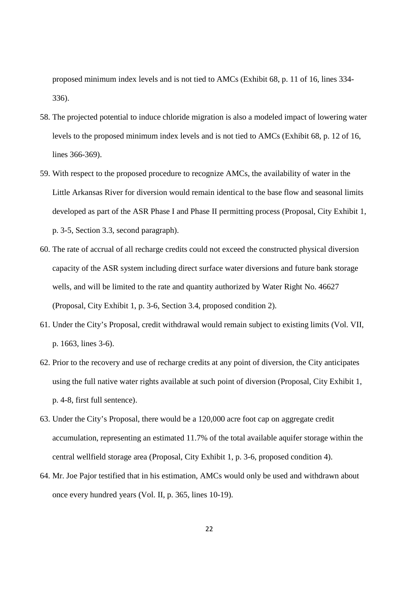proposed minimum index levels and is not tied to AMCs (Exhibit 68, p. 11 of 16, lines 334- 336).

- 58. The projected potential to induce chloride migration is also a modeled impact of lowering water levels to the proposed minimum index levels and is not tied to AMCs (Exhibit 68, p. 12 of 16, lines 366-369).
- 59. With respect to the proposed procedure to recognize AMCs, the availability of water in the Little Arkansas River for diversion would remain identical to the base flow and seasonal limits developed as part of the ASR Phase I and Phase II permitting process (Proposal, City Exhibit 1, p. 3-5, Section 3.3, second paragraph).
- 60. The rate of accrual of all recharge credits could not exceed the constructed physical diversion capacity of the ASR system including direct surface water diversions and future bank storage wells, and will be limited to the rate and quantity authorized by Water Right No. 46627 (Proposal, City Exhibit 1, p. 3-6, Section 3.4, proposed condition 2).
- 61. Under the City's Proposal, credit withdrawal would remain subject to existing limits (Vol. VII, p. 1663, lines 3-6).
- 62. Prior to the recovery and use of recharge credits at any point of diversion, the City anticipates using the full native water rights available at such point of diversion (Proposal, City Exhibit 1, p. 4-8, first full sentence).
- 63. Under the City's Proposal, there would be a 120,000 acre foot cap on aggregate credit accumulation, representing an estimated 11.7% of the total available aquifer storage within the central wellfield storage area (Proposal, City Exhibit 1, p. 3-6, proposed condition 4).
- 64. Mr. Joe Pajor testified that in his estimation, AMCs would only be used and withdrawn about once every hundred years (Vol. II, p. 365, lines 10-19).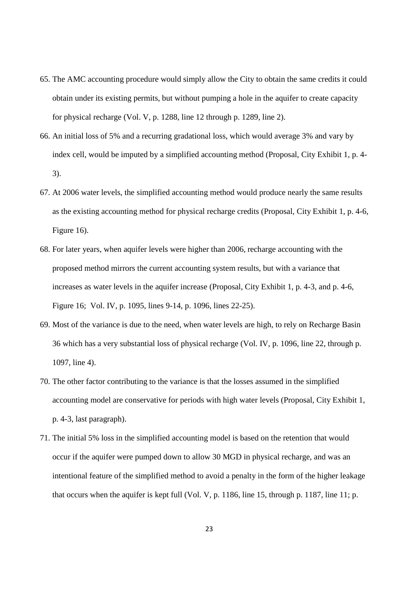- 65. The AMC accounting procedure would simply allow the City to obtain the same credits it could obtain under its existing permits, but without pumping a hole in the aquifer to create capacity for physical recharge (Vol. V, p. 1288, line 12 through p. 1289, line 2).
- 66. An initial loss of 5% and a recurring gradational loss, which would average 3% and vary by index cell, would be imputed by a simplified accounting method (Proposal, City Exhibit 1, p. 4- 3).
- 67. At 2006 water levels, the simplified accounting method would produce nearly the same results as the existing accounting method for physical recharge credits (Proposal, City Exhibit 1, p. 4-6, Figure 16).
- 68. For later years, when aquifer levels were higher than 2006, recharge accounting with the proposed method mirrors the current accounting system results, but with a variance that increases as water levels in the aquifer increase (Proposal, City Exhibit 1, p. 4-3, and p. 4-6, Figure 16; Vol. IV, p. 1095, lines 9-14, p. 1096, lines 22-25).
- 69. Most of the variance is due to the need, when water levels are high, to rely on Recharge Basin 36 which has a very substantial loss of physical recharge (Vol. IV, p. 1096, line 22, through p. 1097, line 4).
- 70. The other factor contributing to the variance is that the losses assumed in the simplified accounting model are conservative for periods with high water levels (Proposal, City Exhibit 1, p. 4-3, last paragraph).
- 71. The initial 5% loss in the simplified accounting model is based on the retention that would occur if the aquifer were pumped down to allow 30 MGD in physical recharge, and was an intentional feature of the simplified method to avoid a penalty in the form of the higher leakage that occurs when the aquifer is kept full (Vol. V, p. 1186, line 15, through p. 1187, line 11; p.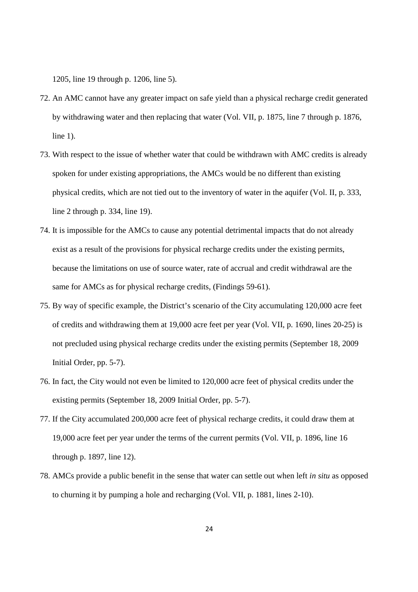1205, line 19 through p. 1206, line 5).

- 72. An AMC cannot have any greater impact on safe yield than a physical recharge credit generated by withdrawing water and then replacing that water (Vol. VII, p. 1875, line 7 through p. 1876, line 1).
- 73. With respect to the issue of whether water that could be withdrawn with AMC credits is already spoken for under existing appropriations, the AMCs would be no different than existing physical credits, which are not tied out to the inventory of water in the aquifer (Vol. II, p. 333, line 2 through p. 334, line 19).
- 74. It is impossible for the AMCs to cause any potential detrimental impacts that do not already exist as a result of the provisions for physical recharge credits under the existing permits, because the limitations on use of source water, rate of accrual and credit withdrawal are the same for AMCs as for physical recharge credits, (Findings 59-61).
- 75. By way of specific example, the District's scenario of the City accumulating 120,000 acre feet of credits and withdrawing them at 19,000 acre feet per year (Vol. VII, p. 1690, lines 20-25) is not precluded using physical recharge credits under the existing permits (September 18, 2009 Initial Order, pp. 5-7).
- 76. In fact, the City would not even be limited to 120,000 acre feet of physical credits under the existing permits (September 18, 2009 Initial Order, pp. 5-7).
- 77. If the City accumulated 200,000 acre feet of physical recharge credits, it could draw them at 19,000 acre feet per year under the terms of the current permits (Vol. VII, p. 1896, line 16 through p. 1897, line 12).
- 78. AMCs provide a public benefit in the sense that water can settle out when left *in situ* as opposed to churning it by pumping a hole and recharging (Vol. VII, p. 1881, lines 2-10).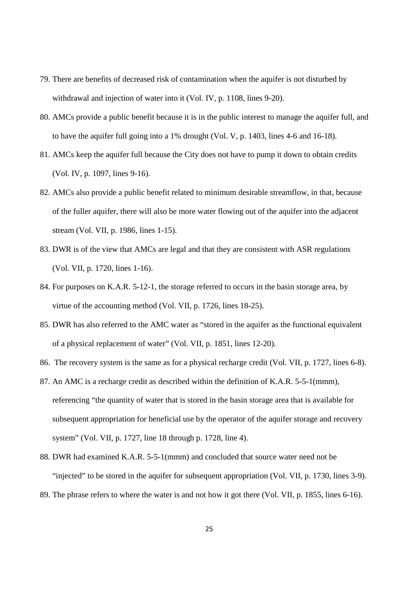- 79. There are benefits of decreased risk of contamination when the aquifer is not disturbed by withdrawal and injection of water into it (Vol. IV, p. 1108, lines 9-20).
- 80. AMCs provide a public benefit because it is in the public interest to manage the aquifer full, and to have the aquifer full going into a 1% drought (Vol. V, p. 1403, lines 4-6 and 16-18).
- 81. AMCs keep the aquifer full because the City does not have to pump it down to obtain credits (Vol. IV, p. 1097, lines 9-16).
- 82. AMCs also provide a public benefit related to minimum desirable streamflow, in that, because of the fuller aquifer, there will also be more water flowing out of the aquifer into the adjacent stream (Vol. VII, p. 1986, lines 1-15).
- 83. DWR is of the view that AMCs are legal and that they are consistent with ASR regulations (Vol. VII, p. 1720, lines 1-16).
- 84. For purposes on K.A.R. 5-12-1, the storage referred to occurs in the basin storage area, by virtue of the accounting method (Vol. VII, p. 1726, lines 18-25).
- 85. DWR has also referred to the AMC water as "stored in the aquifer as the functional equivalent of a physical replacement of water" (Vol. VII, p. 1851, lines 12-20).
- 86. The recovery system is the same as for a physical recharge credit (Vol. VII, p. 1727, lines 6-8).
- 87. An AMC is a recharge credit as described within the definition of K.A.R. 5-5-1(mmm), referencing "the quantity of water that is stored in the basin storage area that is available for subsequent appropriation for beneficial use by the operator of the aquifer storage and recovery system" (Vol. VII, p. 1727, line 18 through p. 1728, line 4).
- 88. DWR had examined K.A.R. 5-5-1(mmm) and concluded that source water need not be "injected" to be stored in the aquifer for subsequent appropriation (Vol. VII, p. 1730, lines 3-9). 89. The phrase refers to where the water is and not how it got there (Vol. VII, p. 1855, lines 6-16).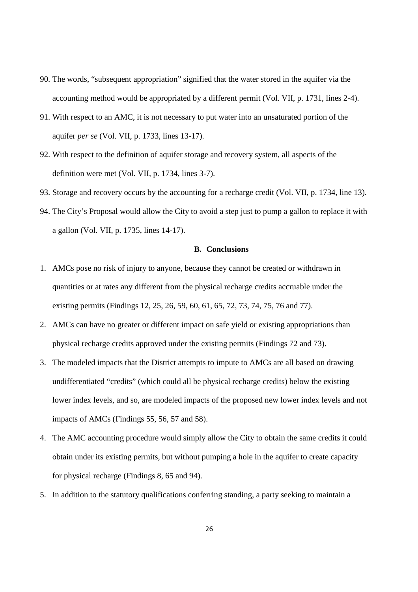- 90. The words, "subsequent appropriation" signified that the water stored in the aquifer via the accounting method would be appropriated by a different permit (Vol. VII, p. 1731, lines 2-4).
- 91. With respect to an AMC, it is not necessary to put water into an unsaturated portion of the aquifer *per se* (Vol. VII, p. 1733, lines 13-17).
- 92. With respect to the definition of aquifer storage and recovery system, all aspects of the definition were met (Vol. VII, p. 1734, lines 3-7).
- 93. Storage and recovery occurs by the accounting for a recharge credit (Vol. VII, p. 1734, line 13).
- 94. The City's Proposal would allow the City to avoid a step just to pump a gallon to replace it with a gallon (Vol. VII, p. 1735, lines 14-17).

### **B. Conclusions**

- 1. AMCs pose no risk of injury to anyone, because they cannot be created or withdrawn in quantities or at rates any different from the physical recharge credits accruable under the existing permits (Findings 12, 25, 26, 59, 60, 61, 65, 72, 73, 74, 75, 76 and 77).
- 2. AMCs can have no greater or different impact on safe yield or existing appropriations than physical recharge credits approved under the existing permits (Findings 72 and 73).
- 3. The modeled impacts that the District attempts to impute to AMCs are all based on drawing undifferentiated "credits" (which could all be physical recharge credits) below the existing lower index levels, and so, are modeled impacts of the proposed new lower index levels and not impacts of AMCs (Findings 55, 56, 57 and 58).
- 4. The AMC accounting procedure would simply allow the City to obtain the same credits it could obtain under its existing permits, but without pumping a hole in the aquifer to create capacity for physical recharge (Findings 8, 65 and 94).
- 5. In addition to the statutory qualifications conferring standing, a party seeking to maintain a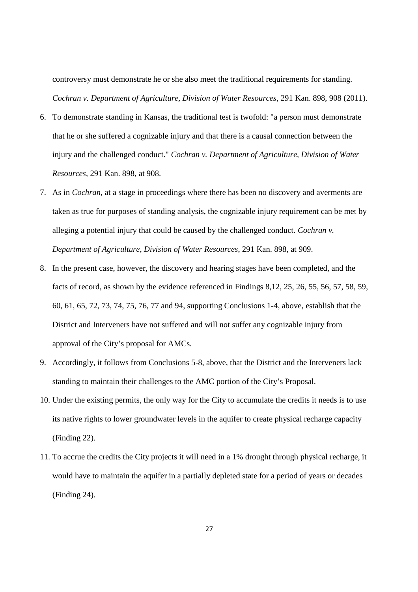controversy must demonstrate he or she also meet the traditional requirements for standing. *Cochran v. Department of Agriculture, Division of Water Resources*, 291 Kan. 898, 908 (2011).

- 6. To demonstrate standing in Kansas, the traditional test is twofold: "a person must demonstrate that he or she suffered a cognizable injury and that there is a causal connection between the injury and the challenged conduct." *Cochran v. Department of Agriculture, Division of Water Resources*, 291 Kan. 898, at 908.
- 7. As in *Cochran*, at a stage in proceedings where there has been no discovery and averments are taken as true for purposes of standing analysis, the cognizable injury requirement can be met by alleging a potential injury that could be caused by the challenged conduct. *Cochran v. Department of Agriculture, Division of Water Resources*, 291 Kan. 898, at 909.
- 8. In the present case, however, the discovery and hearing stages have been completed, and the facts of record, as shown by the evidence referenced in Findings 8,12, 25, 26, 55, 56, 57, 58, 59, 60, 61, 65, 72, 73, 74, 75, 76, 77 and 94, supporting Conclusions 1-4, above, establish that the District and Interveners have not suffered and will not suffer any cognizable injury from approval of the City's proposal for AMCs.
- 9. Accordingly, it follows from Conclusions 5-8, above, that the District and the Interveners lack standing to maintain their challenges to the AMC portion of the City's Proposal.
- 10. Under the existing permits, the only way for the City to accumulate the credits it needs is to use its native rights to lower groundwater levels in the aquifer to create physical recharge capacity (Finding 22).
- 11. To accrue the credits the City projects it will need in a 1% drought through physical recharge, it would have to maintain the aquifer in a partially depleted state for a period of years or decades (Finding 24).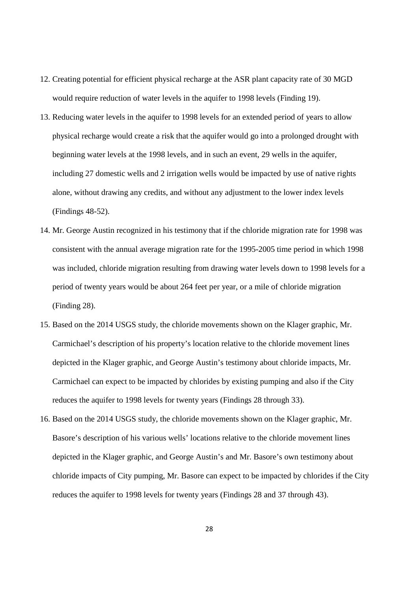- 12. Creating potential for efficient physical recharge at the ASR plant capacity rate of 30 MGD would require reduction of water levels in the aquifer to 1998 levels (Finding 19).
- 13. Reducing water levels in the aquifer to 1998 levels for an extended period of years to allow physical recharge would create a risk that the aquifer would go into a prolonged drought with beginning water levels at the 1998 levels, and in such an event, 29 wells in the aquifer, including 27 domestic wells and 2 irrigation wells would be impacted by use of native rights alone, without drawing any credits, and without any adjustment to the lower index levels (Findings 48-52).
- 14. Mr. George Austin recognized in his testimony that if the chloride migration rate for 1998 was consistent with the annual average migration rate for the 1995-2005 time period in which 1998 was included, chloride migration resulting from drawing water levels down to 1998 levels for a period of twenty years would be about 264 feet per year, or a mile of chloride migration (Finding 28).
- 15. Based on the 2014 USGS study, the chloride movements shown on the Klager graphic, Mr. Carmichael's description of his property's location relative to the chloride movement lines depicted in the Klager graphic, and George Austin's testimony about chloride impacts, Mr. Carmichael can expect to be impacted by chlorides by existing pumping and also if the City reduces the aquifer to 1998 levels for twenty years (Findings 28 through 33).
- 16. Based on the 2014 USGS study, the chloride movements shown on the Klager graphic, Mr. Basore's description of his various wells' locations relative to the chloride movement lines depicted in the Klager graphic, and George Austin's and Mr. Basore's own testimony about chloride impacts of City pumping, Mr. Basore can expect to be impacted by chlorides if the City reduces the aquifer to 1998 levels for twenty years (Findings 28 and 37 through 43).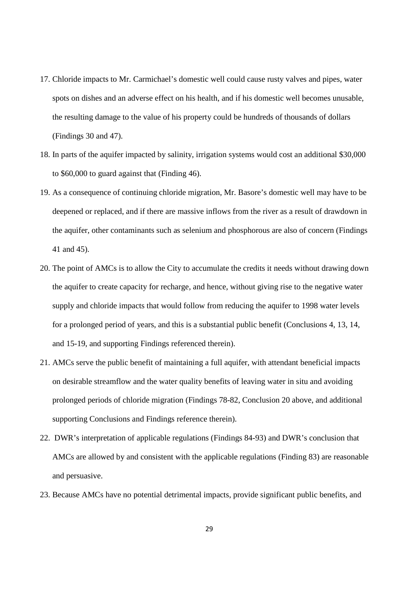- 17. Chloride impacts to Mr. Carmichael's domestic well could cause rusty valves and pipes, water spots on dishes and an adverse effect on his health, and if his domestic well becomes unusable, the resulting damage to the value of his property could be hundreds of thousands of dollars (Findings 30 and 47).
- 18. In parts of the aquifer impacted by salinity, irrigation systems would cost an additional \$30,000 to \$60,000 to guard against that (Finding 46).
- 19. As a consequence of continuing chloride migration, Mr. Basore's domestic well may have to be deepened or replaced, and if there are massive inflows from the river as a result of drawdown in the aquifer, other contaminants such as selenium and phosphorous are also of concern (Findings 41 and 45).
- 20. The point of AMCs is to allow the City to accumulate the credits it needs without drawing down the aquifer to create capacity for recharge, and hence, without giving rise to the negative water supply and chloride impacts that would follow from reducing the aquifer to 1998 water levels for a prolonged period of years, and this is a substantial public benefit (Conclusions 4, 13, 14, and 15-19, and supporting Findings referenced therein).
- 21. AMCs serve the public benefit of maintaining a full aquifer, with attendant beneficial impacts on desirable streamflow and the water quality benefits of leaving water in situ and avoiding prolonged periods of chloride migration (Findings 78-82, Conclusion 20 above, and additional supporting Conclusions and Findings reference therein).
- 22. DWR's interpretation of applicable regulations (Findings 84-93) and DWR's conclusion that AMCs are allowed by and consistent with the applicable regulations (Finding 83) are reasonable and persuasive.
- 23. Because AMCs have no potential detrimental impacts, provide significant public benefits, and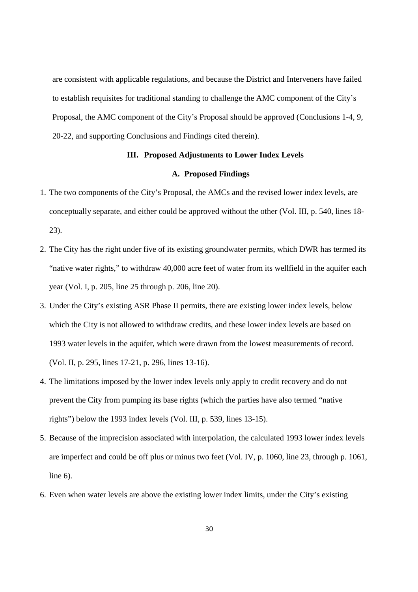are consistent with applicable regulations, and because the District and Interveners have failed to establish requisites for traditional standing to challenge the AMC component of the City's Proposal, the AMC component of the City's Proposal should be approved (Conclusions 1-4, 9, 20-22, and supporting Conclusions and Findings cited therein).

### **III. Proposed Adjustments to Lower Index Levels**

### **A. Proposed Findings**

- 1. The two components of the City's Proposal, the AMCs and the revised lower index levels, are conceptually separate, and either could be approved without the other (Vol. III, p. 540, lines 18- 23).
- 2. The City has the right under five of its existing groundwater permits, which DWR has termed its "native water rights," to withdraw 40,000 acre feet of water from its wellfield in the aquifer each year (Vol. I, p. 205, line 25 through p. 206, line 20).
- 3. Under the City's existing ASR Phase II permits, there are existing lower index levels, below which the City is not allowed to withdraw credits, and these lower index levels are based on 1993 water levels in the aquifer, which were drawn from the lowest measurements of record. (Vol. II, p. 295, lines 17-21, p. 296, lines 13-16).
- 4. The limitations imposed by the lower index levels only apply to credit recovery and do not prevent the City from pumping its base rights (which the parties have also termed "native rights") below the 1993 index levels (Vol. III, p. 539, lines 13-15).
- 5. Because of the imprecision associated with interpolation, the calculated 1993 lower index levels are imperfect and could be off plus or minus two feet (Vol. IV, p. 1060, line 23, through p. 1061, line 6).
- 6. Even when water levels are above the existing lower index limits, under the City's existing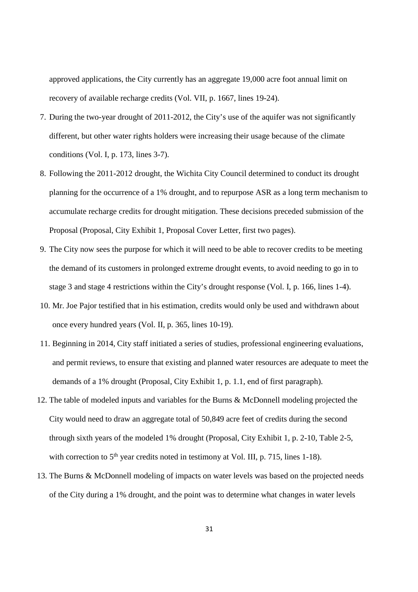approved applications, the City currently has an aggregate 19,000 acre foot annual limit on recovery of available recharge credits (Vol. VII, p. 1667, lines 19-24).

- 7. During the two-year drought of 2011-2012, the City's use of the aquifer was not significantly different, but other water rights holders were increasing their usage because of the climate conditions (Vol. I, p. 173, lines 3-7).
- 8. Following the 2011-2012 drought, the Wichita City Council determined to conduct its drought planning for the occurrence of a 1% drought, and to repurpose ASR as a long term mechanism to accumulate recharge credits for drought mitigation. These decisions preceded submission of the Proposal (Proposal, City Exhibit 1, Proposal Cover Letter, first two pages).
- 9. The City now sees the purpose for which it will need to be able to recover credits to be meeting the demand of its customers in prolonged extreme drought events, to avoid needing to go in to stage 3 and stage 4 restrictions within the City's drought response (Vol. I, p. 166, lines 1-4).
- 10. Mr. Joe Pajor testified that in his estimation, credits would only be used and withdrawn about once every hundred years (Vol. II, p. 365, lines 10-19).
- 11. Beginning in 2014, City staff initiated a series of studies, professional engineering evaluations, and permit reviews, to ensure that existing and planned water resources are adequate to meet the demands of a 1% drought (Proposal, City Exhibit 1, p. 1.1, end of first paragraph).
- 12. The table of modeled inputs and variables for the Burns & McDonnell modeling projected the City would need to draw an aggregate total of 50,849 acre feet of credits during the second through sixth years of the modeled 1% drought (Proposal, City Exhibit 1, p. 2-10, Table 2-5, with correction to  $5<sup>th</sup>$  year credits noted in testimony at Vol. III, p. 715, lines 1-18).
- 13. The Burns & McDonnell modeling of impacts on water levels was based on the projected needs of the City during a 1% drought, and the point was to determine what changes in water levels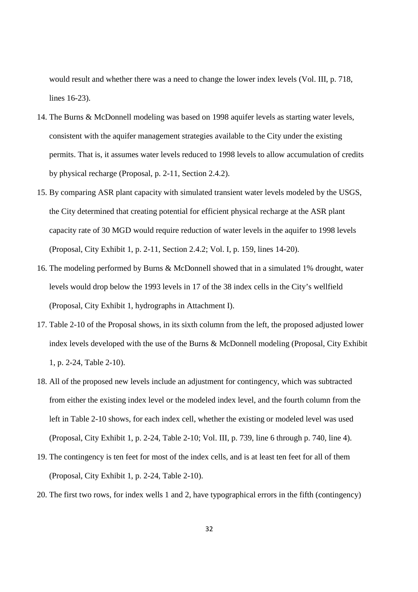would result and whether there was a need to change the lower index levels (Vol. III, p. 718, lines 16-23).

- 14. The Burns & McDonnell modeling was based on 1998 aquifer levels as starting water levels, consistent with the aquifer management strategies available to the City under the existing permits. That is, it assumes water levels reduced to 1998 levels to allow accumulation of credits by physical recharge (Proposal, p. 2-11, Section 2.4.2).
- 15. By comparing ASR plant capacity with simulated transient water levels modeled by the USGS, the City determined that creating potential for efficient physical recharge at the ASR plant capacity rate of 30 MGD would require reduction of water levels in the aquifer to 1998 levels (Proposal, City Exhibit 1, p. 2-11, Section 2.4.2; Vol. I, p. 159, lines 14-20).
- 16. The modeling performed by Burns & McDonnell showed that in a simulated 1% drought, water levels would drop below the 1993 levels in 17 of the 38 index cells in the City's wellfield (Proposal, City Exhibit 1, hydrographs in Attachment I).
- 17. Table 2-10 of the Proposal shows, in its sixth column from the left, the proposed adjusted lower index levels developed with the use of the Burns & McDonnell modeling (Proposal, City Exhibit 1, p. 2-24, Table 2-10).
- 18. All of the proposed new levels include an adjustment for contingency, which was subtracted from either the existing index level or the modeled index level, and the fourth column from the left in Table 2-10 shows, for each index cell, whether the existing or modeled level was used (Proposal, City Exhibit 1, p. 2-24, Table 2-10; Vol. III, p. 739, line 6 through p. 740, line 4).
- 19. The contingency is ten feet for most of the index cells, and is at least ten feet for all of them (Proposal, City Exhibit 1, p. 2-24, Table 2-10).
- 20. The first two rows, for index wells 1 and 2, have typographical errors in the fifth (contingency)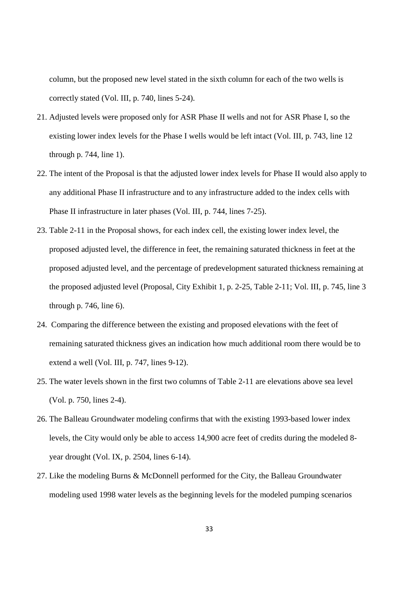column, but the proposed new level stated in the sixth column for each of the two wells is correctly stated (Vol. III, p. 740, lines 5-24).

- 21. Adjusted levels were proposed only for ASR Phase II wells and not for ASR Phase I, so the existing lower index levels for the Phase I wells would be left intact (Vol. III, p. 743, line 12 through p. 744, line 1).
- 22. The intent of the Proposal is that the adjusted lower index levels for Phase II would also apply to any additional Phase II infrastructure and to any infrastructure added to the index cells with Phase II infrastructure in later phases (Vol. III, p. 744, lines 7-25).
- 23. Table 2-11 in the Proposal shows, for each index cell, the existing lower index level, the proposed adjusted level, the difference in feet, the remaining saturated thickness in feet at the proposed adjusted level, and the percentage of predevelopment saturated thickness remaining at the proposed adjusted level (Proposal, City Exhibit 1, p. 2-25, Table 2-11; Vol. III, p. 745, line 3 through p. 746, line 6).
- 24. Comparing the difference between the existing and proposed elevations with the feet of remaining saturated thickness gives an indication how much additional room there would be to extend a well (Vol. III, p. 747, lines 9-12).
- 25. The water levels shown in the first two columns of Table 2-11 are elevations above sea level (Vol. p. 750, lines 2-4).
- 26. The Balleau Groundwater modeling confirms that with the existing 1993-based lower index levels, the City would only be able to access 14,900 acre feet of credits during the modeled 8 year drought (Vol. IX, p. 2504, lines 6-14).
- 27. Like the modeling Burns & McDonnell performed for the City, the Balleau Groundwater modeling used 1998 water levels as the beginning levels for the modeled pumping scenarios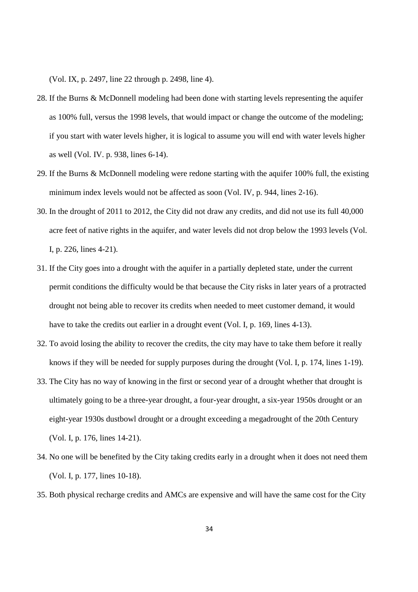(Vol. IX, p. 2497, line 22 through p. 2498, line 4).

- 28. If the Burns & McDonnell modeling had been done with starting levels representing the aquifer as 100% full, versus the 1998 levels, that would impact or change the outcome of the modeling; if you start with water levels higher, it is logical to assume you will end with water levels higher as well (Vol. IV. p. 938, lines 6-14).
- 29. If the Burns & McDonnell modeling were redone starting with the aquifer 100% full, the existing minimum index levels would not be affected as soon (Vol. IV, p. 944, lines 2-16).
- 30. In the drought of 2011 to 2012, the City did not draw any credits, and did not use its full 40,000 acre feet of native rights in the aquifer, and water levels did not drop below the 1993 levels (Vol. I, p. 226, lines 4-21).
- 31. If the City goes into a drought with the aquifer in a partially depleted state, under the current permit conditions the difficulty would be that because the City risks in later years of a protracted drought not being able to recover its credits when needed to meet customer demand, it would have to take the credits out earlier in a drought event (Vol. I, p. 169, lines 4-13).
- 32. To avoid losing the ability to recover the credits, the city may have to take them before it really knows if they will be needed for supply purposes during the drought (Vol. I, p. 174, lines 1-19).
- 33. The City has no way of knowing in the first or second year of a drought whether that drought is ultimately going to be a three-year drought, a four-year drought, a six-year 1950s drought or an eight-year 1930s dustbowl drought or a drought exceeding a megadrought of the 20th Century (Vol. I, p. 176, lines 14-21).
- 34. No one will be benefited by the City taking credits early in a drought when it does not need them (Vol. I, p. 177, lines 10-18).
- 35. Both physical recharge credits and AMCs are expensive and will have the same cost for the City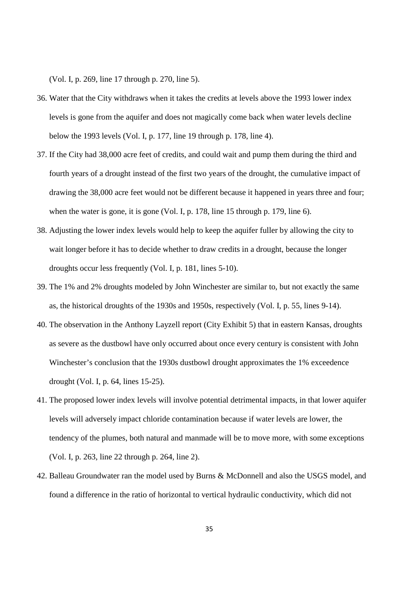(Vol. I, p. 269, line 17 through p. 270, line 5).

- 36. Water that the City withdraws when it takes the credits at levels above the 1993 lower index levels is gone from the aquifer and does not magically come back when water levels decline below the 1993 levels (Vol. I, p. 177, line 19 through p. 178, line 4).
- 37. If the City had 38,000 acre feet of credits, and could wait and pump them during the third and fourth years of a drought instead of the first two years of the drought, the cumulative impact of drawing the 38,000 acre feet would not be different because it happened in years three and four; when the water is gone, it is gone (Vol. I, p. 178, line 15 through p. 179, line 6).
- 38. Adjusting the lower index levels would help to keep the aquifer fuller by allowing the city to wait longer before it has to decide whether to draw credits in a drought, because the longer droughts occur less frequently (Vol. I, p. 181, lines 5-10).
- 39. The 1% and 2% droughts modeled by John Winchester are similar to, but not exactly the same as, the historical droughts of the 1930s and 1950s, respectively (Vol. I, p. 55, lines 9-14).
- 40. The observation in the Anthony Layzell report (City Exhibit 5) that in eastern Kansas, droughts as severe as the dustbowl have only occurred about once every century is consistent with John Winchester's conclusion that the 1930s dustbowl drought approximates the 1% exceedence drought (Vol. I, p. 64, lines 15-25).
- 41. The proposed lower index levels will involve potential detrimental impacts, in that lower aquifer levels will adversely impact chloride contamination because if water levels are lower, the tendency of the plumes, both natural and manmade will be to move more, with some exceptions (Vol. I, p. 263, line 22 through p. 264, line 2).
- 42. Balleau Groundwater ran the model used by Burns & McDonnell and also the USGS model, and found a difference in the ratio of horizontal to vertical hydraulic conductivity, which did not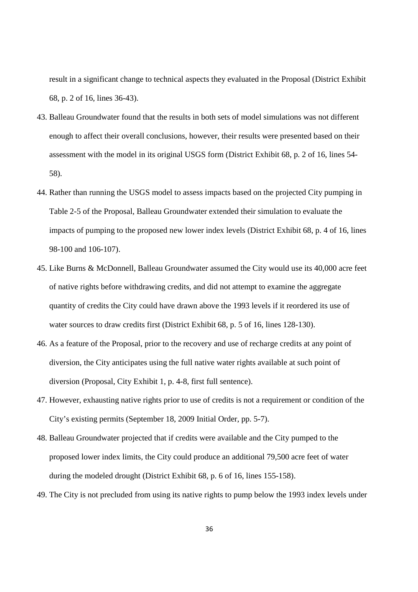result in a significant change to technical aspects they evaluated in the Proposal (District Exhibit 68, p. 2 of 16, lines 36-43).

- 43. Balleau Groundwater found that the results in both sets of model simulations was not different enough to affect their overall conclusions, however, their results were presented based on their assessment with the model in its original USGS form (District Exhibit 68, p. 2 of 16, lines 54- 58).
- 44. Rather than running the USGS model to assess impacts based on the projected City pumping in Table 2-5 of the Proposal, Balleau Groundwater extended their simulation to evaluate the impacts of pumping to the proposed new lower index levels (District Exhibit 68, p. 4 of 16, lines 98-100 and 106-107).
- 45. Like Burns & McDonnell, Balleau Groundwater assumed the City would use its 40,000 acre feet of native rights before withdrawing credits, and did not attempt to examine the aggregate quantity of credits the City could have drawn above the 1993 levels if it reordered its use of water sources to draw credits first (District Exhibit 68, p. 5 of 16, lines 128-130).
- 46. As a feature of the Proposal, prior to the recovery and use of recharge credits at any point of diversion, the City anticipates using the full native water rights available at such point of diversion (Proposal, City Exhibit 1, p. 4-8, first full sentence).
- 47. However, exhausting native rights prior to use of credits is not a requirement or condition of the City's existing permits (September 18, 2009 Initial Order, pp. 5-7).
- 48. Balleau Groundwater projected that if credits were available and the City pumped to the proposed lower index limits, the City could produce an additional 79,500 acre feet of water during the modeled drought (District Exhibit 68, p. 6 of 16, lines 155-158).
- 49. The City is not precluded from using its native rights to pump below the 1993 index levels under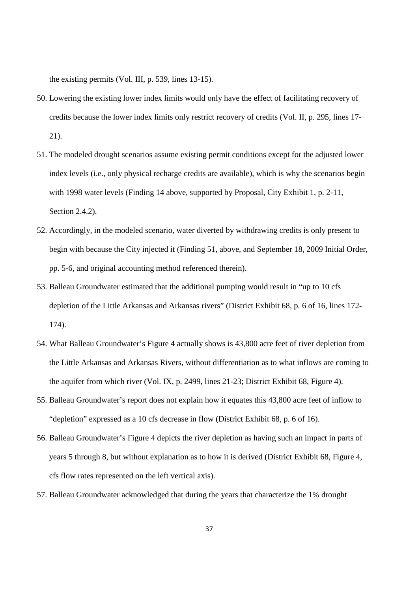the existing permits (Vol. III, p. 539, lines 13-15).

- 50. Lowering the existing lower index limits would only have the effect of facilitating recovery of credits because the lower index limits only restrict recovery of credits (Vol. II, p. 295, lines 17- 21).
- 51. The modeled drought scenarios assume existing permit conditions except for the adjusted lower index levels (i.e., only physical recharge credits are available), which is why the scenarios begin with 1998 water levels (Finding 14 above, supported by Proposal, City Exhibit 1, p. 2-11, Section 2.4.2).
- 52. Accordingly, in the modeled scenario, water diverted by withdrawing credits is only present to begin with because the City injected it (Finding 51, above, and September 18, 2009 Initial Order, pp. 5-6, and original accounting method referenced therein).
- 53. Balleau Groundwater estimated that the additional pumping would result in "up to 10 cfs depletion of the Little Arkansas and Arkansas rivers" (District Exhibit 68, p. 6 of 16, lines 172- 174).
- 54. What Balleau Groundwater's Figure 4 actually shows is 43,800 acre feet of river depletion from the Little Arkansas and Arkansas Rivers, without differentiation as to what inflows are coming to the aquifer from which river (Vol. IX, p. 2499, lines 21-23; District Exhibit 68, Figure 4).
- 55. Balleau Groundwater's report does not explain how it equates this 43,800 acre feet of inflow to "depletion" expressed as a 10 cfs decrease in flow (District Exhibit 68, p. 6 of 16).
- 56. Balleau Groundwater's Figure 4 depicts the river depletion as having such an impact in parts of years 5 through 8, but without explanation as to how it is derived (District Exhibit 68, Figure 4, cfs flow rates represented on the left vertical axis).
- 57. Balleau Groundwater acknowledged that during the years that characterize the 1% drought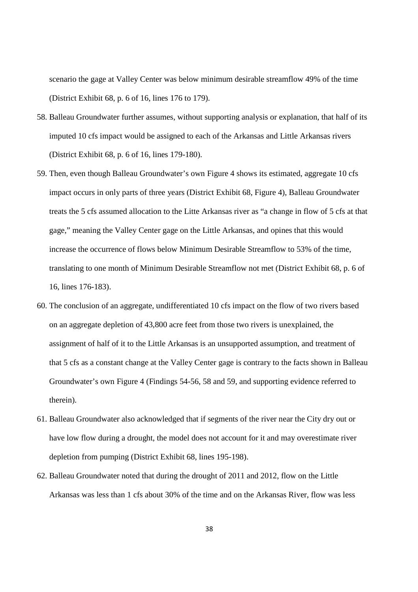scenario the gage at Valley Center was below minimum desirable streamflow 49% of the time (District Exhibit 68, p. 6 of 16, lines 176 to 179).

- 58. Balleau Groundwater further assumes, without supporting analysis or explanation, that half of its imputed 10 cfs impact would be assigned to each of the Arkansas and Little Arkansas rivers (District Exhibit 68, p. 6 of 16, lines 179-180).
- 59. Then, even though Balleau Groundwater's own Figure 4 shows its estimated, aggregate 10 cfs impact occurs in only parts of three years (District Exhibit 68, Figure 4), Balleau Groundwater treats the 5 cfs assumed allocation to the Litte Arkansas river as "a change in flow of 5 cfs at that gage," meaning the Valley Center gage on the Little Arkansas, and opines that this would increase the occurrence of flows below Minimum Desirable Streamflow to 53% of the time, translating to one month of Minimum Desirable Streamflow not met (District Exhibit 68, p. 6 of 16, lines 176-183).
- 60. The conclusion of an aggregate, undifferentiated 10 cfs impact on the flow of two rivers based on an aggregate depletion of 43,800 acre feet from those two rivers is unexplained, the assignment of half of it to the Little Arkansas is an unsupported assumption, and treatment of that 5 cfs as a constant change at the Valley Center gage is contrary to the facts shown in Balleau Groundwater's own Figure 4 (Findings 54-56, 58 and 59, and supporting evidence referred to therein).
- 61. Balleau Groundwater also acknowledged that if segments of the river near the City dry out or have low flow during a drought, the model does not account for it and may overestimate river depletion from pumping (District Exhibit 68, lines 195-198).
- 62. Balleau Groundwater noted that during the drought of 2011 and 2012, flow on the Little Arkansas was less than 1 cfs about 30% of the time and on the Arkansas River, flow was less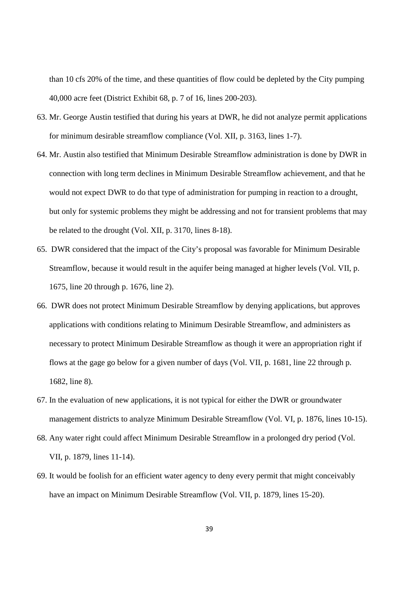than 10 cfs 20% of the time, and these quantities of flow could be depleted by the City pumping 40,000 acre feet (District Exhibit 68, p. 7 of 16, lines 200-203).

- 63. Mr. George Austin testified that during his years at DWR, he did not analyze permit applications for minimum desirable streamflow compliance (Vol. XII, p. 3163, lines 1-7).
- 64. Mr. Austin also testified that Minimum Desirable Streamflow administration is done by DWR in connection with long term declines in Minimum Desirable Streamflow achievement, and that he would not expect DWR to do that type of administration for pumping in reaction to a drought, but only for systemic problems they might be addressing and not for transient problems that may be related to the drought (Vol. XII, p. 3170, lines 8-18).
- 65. DWR considered that the impact of the City's proposal was favorable for Minimum Desirable Streamflow, because it would result in the aquifer being managed at higher levels (Vol. VII, p. 1675, line 20 through p. 1676, line 2).
- 66. DWR does not protect Minimum Desirable Streamflow by denying applications, but approves applications with conditions relating to Minimum Desirable Streamflow, and administers as necessary to protect Minimum Desirable Streamflow as though it were an appropriation right if flows at the gage go below for a given number of days (Vol. VII, p. 1681, line 22 through p. 1682, line 8).
- 67. In the evaluation of new applications, it is not typical for either the DWR or groundwater management districts to analyze Minimum Desirable Streamflow (Vol. VI, p. 1876, lines 10-15).
- 68. Any water right could affect Minimum Desirable Streamflow in a prolonged dry period (Vol. VII, p. 1879, lines 11-14).
- 69. It would be foolish for an efficient water agency to deny every permit that might conceivably have an impact on Minimum Desirable Streamflow (Vol. VII, p. 1879, lines 15-20).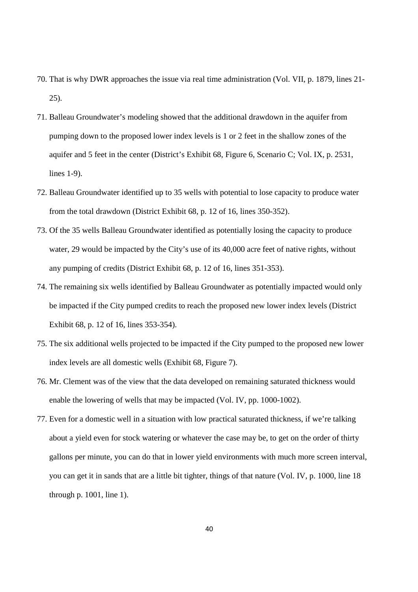- 70. That is why DWR approaches the issue via real time administration (Vol. VII, p. 1879, lines 21- 25).
- 71. Balleau Groundwater's modeling showed that the additional drawdown in the aquifer from pumping down to the proposed lower index levels is 1 or 2 feet in the shallow zones of the aquifer and 5 feet in the center (District's Exhibit 68, Figure 6, Scenario C; Vol. IX, p. 2531, lines 1-9).
- 72. Balleau Groundwater identified up to 35 wells with potential to lose capacity to produce water from the total drawdown (District Exhibit 68, p. 12 of 16, lines 350-352).
- 73. Of the 35 wells Balleau Groundwater identified as potentially losing the capacity to produce water, 29 would be impacted by the City's use of its 40,000 acre feet of native rights, without any pumping of credits (District Exhibit 68, p. 12 of 16, lines 351-353).
- 74. The remaining six wells identified by Balleau Groundwater as potentially impacted would only be impacted if the City pumped credits to reach the proposed new lower index levels (District Exhibit 68, p. 12 of 16, lines 353-354).
- 75. The six additional wells projected to be impacted if the City pumped to the proposed new lower index levels are all domestic wells (Exhibit 68, Figure 7).
- 76. Mr. Clement was of the view that the data developed on remaining saturated thickness would enable the lowering of wells that may be impacted (Vol. IV, pp. 1000-1002).
- 77. Even for a domestic well in a situation with low practical saturated thickness, if we're talking about a yield even for stock watering or whatever the case may be, to get on the order of thirty gallons per minute, you can do that in lower yield environments with much more screen interval, you can get it in sands that are a little bit tighter, things of that nature (Vol. IV, p. 1000, line 18 through p. 1001, line 1).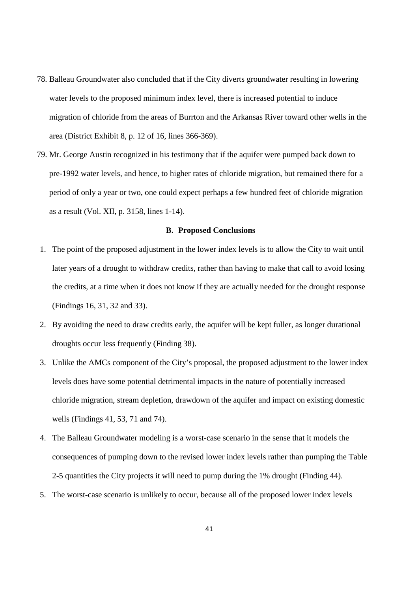- 78. Balleau Groundwater also concluded that if the City diverts groundwater resulting in lowering water levels to the proposed minimum index level, there is increased potential to induce migration of chloride from the areas of Burrton and the Arkansas River toward other wells in the area (District Exhibit 8, p. 12 of 16, lines 366-369).
- 79. Mr. George Austin recognized in his testimony that if the aquifer were pumped back down to pre-1992 water levels, and hence, to higher rates of chloride migration, but remained there for a period of only a year or two, one could expect perhaps a few hundred feet of chloride migration as a result (Vol. XII, p. 3158, lines 1-14).

#### **B. Proposed Conclusions**

- 1. The point of the proposed adjustment in the lower index levels is to allow the City to wait until later years of a drought to withdraw credits, rather than having to make that call to avoid losing the credits, at a time when it does not know if they are actually needed for the drought response (Findings 16, 31, 32 and 33).
- 2. By avoiding the need to draw credits early, the aquifer will be kept fuller, as longer durational droughts occur less frequently (Finding 38).
- 3. Unlike the AMCs component of the City's proposal, the proposed adjustment to the lower index levels does have some potential detrimental impacts in the nature of potentially increased chloride migration, stream depletion, drawdown of the aquifer and impact on existing domestic wells (Findings 41, 53, 71 and 74).
- 4. The Balleau Groundwater modeling is a worst-case scenario in the sense that it models the consequences of pumping down to the revised lower index levels rather than pumping the Table 2-5 quantities the City projects it will need to pump during the 1% drought (Finding 44).
- 5. The worst-case scenario is unlikely to occur, because all of the proposed lower index levels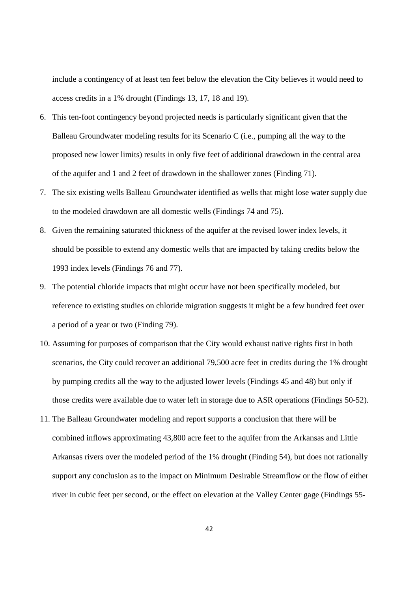include a contingency of at least ten feet below the elevation the City believes it would need to access credits in a 1% drought (Findings 13, 17, 18 and 19).

- 6. This ten-foot contingency beyond projected needs is particularly significant given that the Balleau Groundwater modeling results for its Scenario C (i.e., pumping all the way to the proposed new lower limits) results in only five feet of additional drawdown in the central area of the aquifer and 1 and 2 feet of drawdown in the shallower zones (Finding 71).
- 7. The six existing wells Balleau Groundwater identified as wells that might lose water supply due to the modeled drawdown are all domestic wells (Findings 74 and 75).
- 8. Given the remaining saturated thickness of the aquifer at the revised lower index levels, it should be possible to extend any domestic wells that are impacted by taking credits below the 1993 index levels (Findings 76 and 77).
- 9. The potential chloride impacts that might occur have not been specifically modeled, but reference to existing studies on chloride migration suggests it might be a few hundred feet over a period of a year or two (Finding 79).
- 10. Assuming for purposes of comparison that the City would exhaust native rights first in both scenarios, the City could recover an additional 79,500 acre feet in credits during the 1% drought by pumping credits all the way to the adjusted lower levels (Findings 45 and 48) but only if those credits were available due to water left in storage due to ASR operations (Findings 50-52).
- 11. The Balleau Groundwater modeling and report supports a conclusion that there will be combined inflows approximating 43,800 acre feet to the aquifer from the Arkansas and Little Arkansas rivers over the modeled period of the 1% drought (Finding 54), but does not rationally support any conclusion as to the impact on Minimum Desirable Streamflow or the flow of either river in cubic feet per second, or the effect on elevation at the Valley Center gage (Findings 55-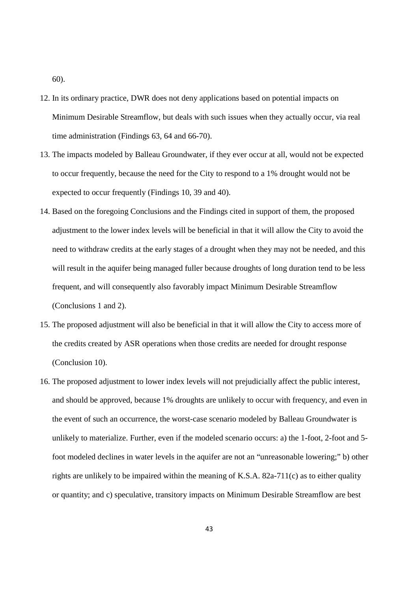60).

- 12. In its ordinary practice, DWR does not deny applications based on potential impacts on Minimum Desirable Streamflow, but deals with such issues when they actually occur, via real time administration (Findings 63, 64 and 66-70).
- 13. The impacts modeled by Balleau Groundwater, if they ever occur at all, would not be expected to occur frequently, because the need for the City to respond to a 1% drought would not be expected to occur frequently (Findings 10, 39 and 40).
- 14. Based on the foregoing Conclusions and the Findings cited in support of them, the proposed adjustment to the lower index levels will be beneficial in that it will allow the City to avoid the need to withdraw credits at the early stages of a drought when they may not be needed, and this will result in the aquifer being managed fuller because droughts of long duration tend to be less frequent, and will consequently also favorably impact Minimum Desirable Streamflow (Conclusions 1 and 2).
- 15. The proposed adjustment will also be beneficial in that it will allow the City to access more of the credits created by ASR operations when those credits are needed for drought response (Conclusion 10).
- 16. The proposed adjustment to lower index levels will not prejudicially affect the public interest, and should be approved, because 1% droughts are unlikely to occur with frequency, and even in the event of such an occurrence, the worst-case scenario modeled by Balleau Groundwater is unlikely to materialize. Further, even if the modeled scenario occurs: a) the 1-foot, 2-foot and 5 foot modeled declines in water levels in the aquifer are not an "unreasonable lowering;" b) other rights are unlikely to be impaired within the meaning of K.S.A. 82a-711(c) as to either quality or quantity; and c) speculative, transitory impacts on Minimum Desirable Streamflow are best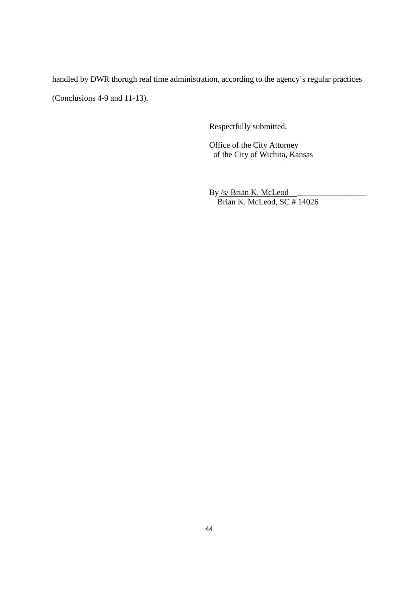handled by DWR thorugh real time administration, according to the agency's regular practices (Conclusions 4-9 and 11-13).

Respectfully submitted,

Office of the City Attorney of the City of Wichita, Kansas

By /s/ Brian K. McLeod Brian K. McLeod, SC # 14026